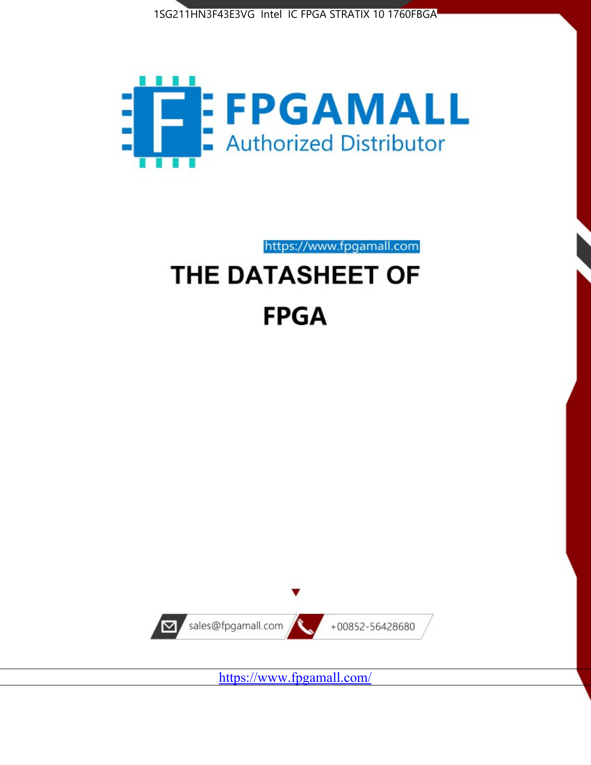



https://www.fpgamall.com

# THE DATASHEET OF **FPGA**



<https://www.fpgamall.com/>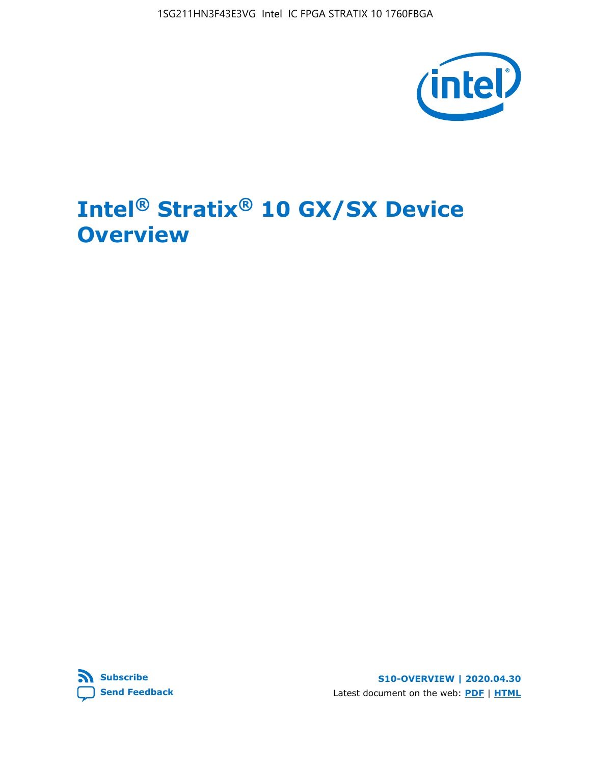1SG211HN3F43E3VG Intel IC FPGA STRATIX 10 1760FBGA



# **Intel® Stratix® 10 GX/SX Device Overview**



**S10-OVERVIEW | 2020.04.30** Latest document on the web: **[PDF](https://www.intel.com/content/dam/www/programmable/us/en/pdfs/literature/hb/stratix-10/s10-overview.pdf)** | **[HTML](https://www.intel.com/content/www/us/en/programmable/documentation/joc1442261161666.html)**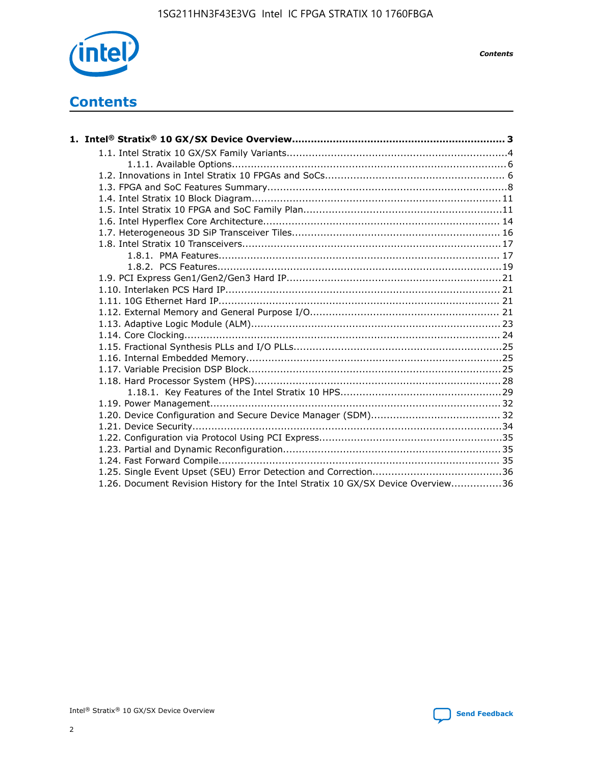

*Contents*

# **Contents**

| 1.26. Document Revision History for the Intel Stratix 10 GX/SX Device Overview36 |  |
|----------------------------------------------------------------------------------|--|

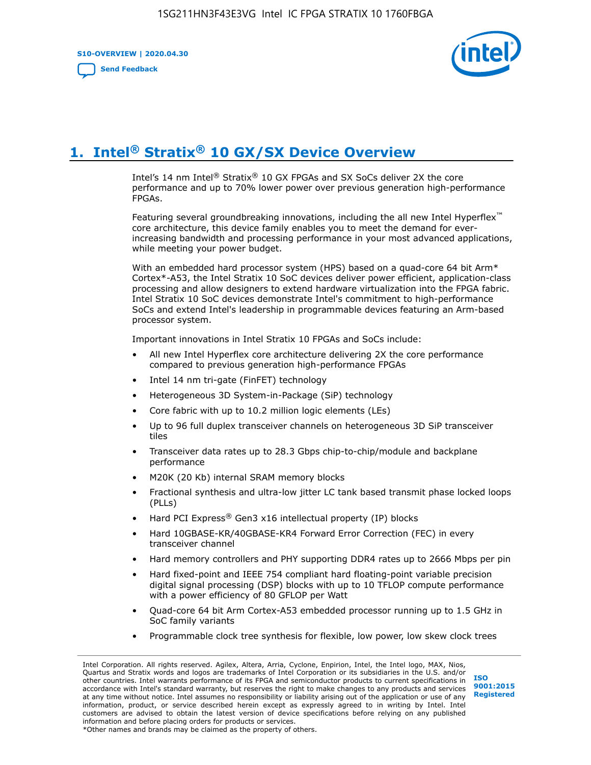**S10-OVERVIEW | 2020.04.30**

**[Send Feedback](mailto:FPGAtechdocfeedback@intel.com?subject=Feedback%20on%20Intel%20Stratix%2010%20GX/SX%20Device%20Overview%20(S10-OVERVIEW%202020.04.30)&body=We%20appreciate%20your%20feedback.%20In%20your%20comments,%20also%20specify%20the%20page%20number%20or%20paragraph.%20Thank%20you.)**



# **1. Intel® Stratix® 10 GX/SX Device Overview**

Intel's 14 nm Intel® Stratix® 10 GX FPGAs and SX SoCs deliver 2X the core performance and up to 70% lower power over previous generation high-performance FPGAs.

Featuring several groundbreaking innovations, including the all new Intel Hyperflex™ core architecture, this device family enables you to meet the demand for everincreasing bandwidth and processing performance in your most advanced applications, while meeting your power budget.

With an embedded hard processor system (HPS) based on a quad-core 64 bit Arm\* Cortex\*-A53, the Intel Stratix 10 SoC devices deliver power efficient, application-class processing and allow designers to extend hardware virtualization into the FPGA fabric. Intel Stratix 10 SoC devices demonstrate Intel's commitment to high-performance SoCs and extend Intel's leadership in programmable devices featuring an Arm-based processor system.

Important innovations in Intel Stratix 10 FPGAs and SoCs include:

- All new Intel Hyperflex core architecture delivering 2X the core performance compared to previous generation high-performance FPGAs
- Intel 14 nm tri-gate (FinFET) technology
- Heterogeneous 3D System-in-Package (SiP) technology
- Core fabric with up to 10.2 million logic elements (LEs)
- Up to 96 full duplex transceiver channels on heterogeneous 3D SiP transceiver tiles
- Transceiver data rates up to 28.3 Gbps chip-to-chip/module and backplane performance
- M20K (20 Kb) internal SRAM memory blocks
- Fractional synthesis and ultra-low jitter LC tank based transmit phase locked loops (PLLs)
- Hard PCI Express<sup>®</sup> Gen3 x16 intellectual property (IP) blocks
- Hard 10GBASE-KR/40GBASE-KR4 Forward Error Correction (FEC) in every transceiver channel
- Hard memory controllers and PHY supporting DDR4 rates up to 2666 Mbps per pin
- Hard fixed-point and IEEE 754 compliant hard floating-point variable precision digital signal processing (DSP) blocks with up to 10 TFLOP compute performance with a power efficiency of 80 GFLOP per Watt
- Quad-core 64 bit Arm Cortex-A53 embedded processor running up to 1.5 GHz in SoC family variants
- Programmable clock tree synthesis for flexible, low power, low skew clock trees

Intel Corporation. All rights reserved. Agilex, Altera, Arria, Cyclone, Enpirion, Intel, the Intel logo, MAX, Nios, Quartus and Stratix words and logos are trademarks of Intel Corporation or its subsidiaries in the U.S. and/or other countries. Intel warrants performance of its FPGA and semiconductor products to current specifications in accordance with Intel's standard warranty, but reserves the right to make changes to any products and services at any time without notice. Intel assumes no responsibility or liability arising out of the application or use of any information, product, or service described herein except as expressly agreed to in writing by Intel. Intel customers are advised to obtain the latest version of device specifications before relying on any published information and before placing orders for products or services. \*Other names and brands may be claimed as the property of others.

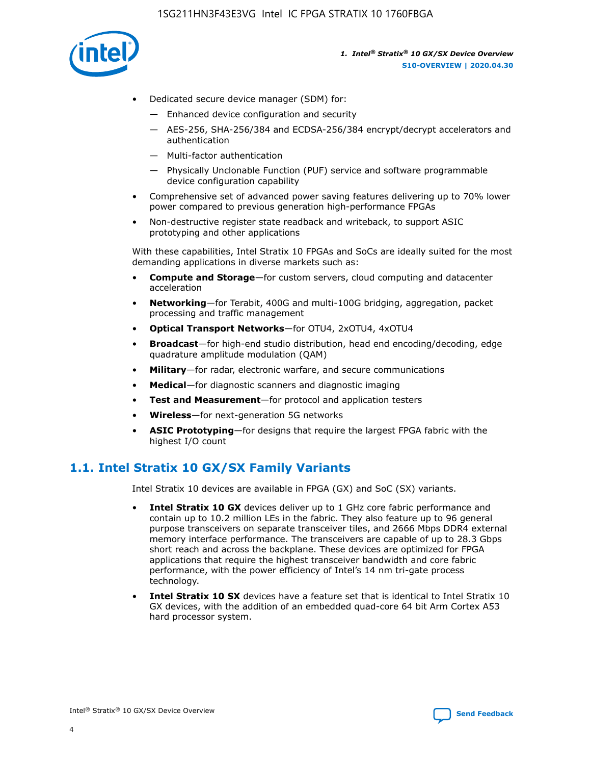

- Dedicated secure device manager (SDM) for:
	- Enhanced device configuration and security
	- AES-256, SHA-256/384 and ECDSA-256/384 encrypt/decrypt accelerators and authentication
	- Multi-factor authentication
	- Physically Unclonable Function (PUF) service and software programmable device configuration capability
- Comprehensive set of advanced power saving features delivering up to 70% lower power compared to previous generation high-performance FPGAs
- Non-destructive register state readback and writeback, to support ASIC prototyping and other applications

With these capabilities, Intel Stratix 10 FPGAs and SoCs are ideally suited for the most demanding applications in diverse markets such as:

- **Compute and Storage**—for custom servers, cloud computing and datacenter acceleration
- **Networking**—for Terabit, 400G and multi-100G bridging, aggregation, packet processing and traffic management
- **Optical Transport Networks**—for OTU4, 2xOTU4, 4xOTU4
- **Broadcast**—for high-end studio distribution, head end encoding/decoding, edge quadrature amplitude modulation (QAM)
- **Military**—for radar, electronic warfare, and secure communications
- **Medical**—for diagnostic scanners and diagnostic imaging
- **Test and Measurement**—for protocol and application testers
- **Wireless**—for next-generation 5G networks
- **ASIC Prototyping**—for designs that require the largest FPGA fabric with the highest I/O count

## **1.1. Intel Stratix 10 GX/SX Family Variants**

Intel Stratix 10 devices are available in FPGA (GX) and SoC (SX) variants.

- **Intel Stratix 10 GX** devices deliver up to 1 GHz core fabric performance and contain up to 10.2 million LEs in the fabric. They also feature up to 96 general purpose transceivers on separate transceiver tiles, and 2666 Mbps DDR4 external memory interface performance. The transceivers are capable of up to 28.3 Gbps short reach and across the backplane. These devices are optimized for FPGA applications that require the highest transceiver bandwidth and core fabric performance, with the power efficiency of Intel's 14 nm tri-gate process technology.
- **Intel Stratix 10 SX** devices have a feature set that is identical to Intel Stratix 10 GX devices, with the addition of an embedded quad-core 64 bit Arm Cortex A53 hard processor system.

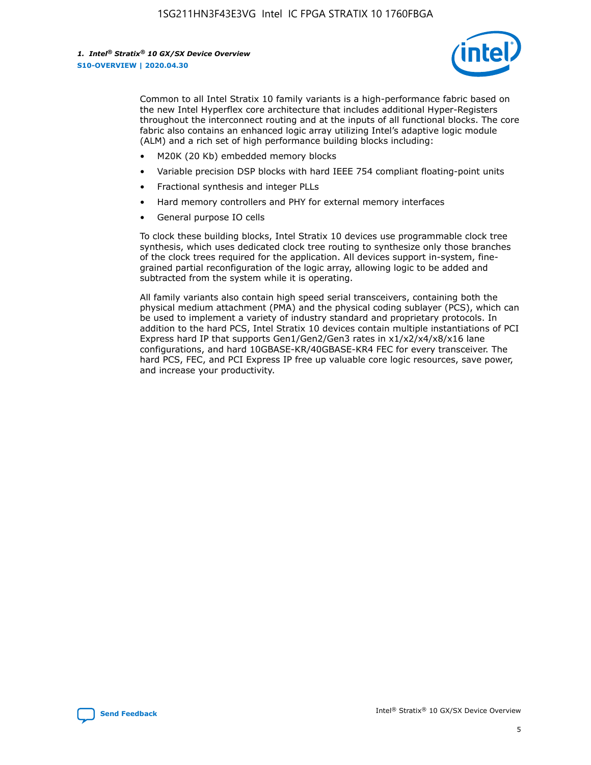

Common to all Intel Stratix 10 family variants is a high-performance fabric based on the new Intel Hyperflex core architecture that includes additional Hyper-Registers throughout the interconnect routing and at the inputs of all functional blocks. The core fabric also contains an enhanced logic array utilizing Intel's adaptive logic module (ALM) and a rich set of high performance building blocks including:

- M20K (20 Kb) embedded memory blocks
- Variable precision DSP blocks with hard IEEE 754 compliant floating-point units
- Fractional synthesis and integer PLLs
- Hard memory controllers and PHY for external memory interfaces
- General purpose IO cells

To clock these building blocks, Intel Stratix 10 devices use programmable clock tree synthesis, which uses dedicated clock tree routing to synthesize only those branches of the clock trees required for the application. All devices support in-system, finegrained partial reconfiguration of the logic array, allowing logic to be added and subtracted from the system while it is operating.

All family variants also contain high speed serial transceivers, containing both the physical medium attachment (PMA) and the physical coding sublayer (PCS), which can be used to implement a variety of industry standard and proprietary protocols. In addition to the hard PCS, Intel Stratix 10 devices contain multiple instantiations of PCI Express hard IP that supports Gen1/Gen2/Gen3 rates in x1/x2/x4/x8/x16 lane configurations, and hard 10GBASE-KR/40GBASE-KR4 FEC for every transceiver. The hard PCS, FEC, and PCI Express IP free up valuable core logic resources, save power, and increase your productivity.

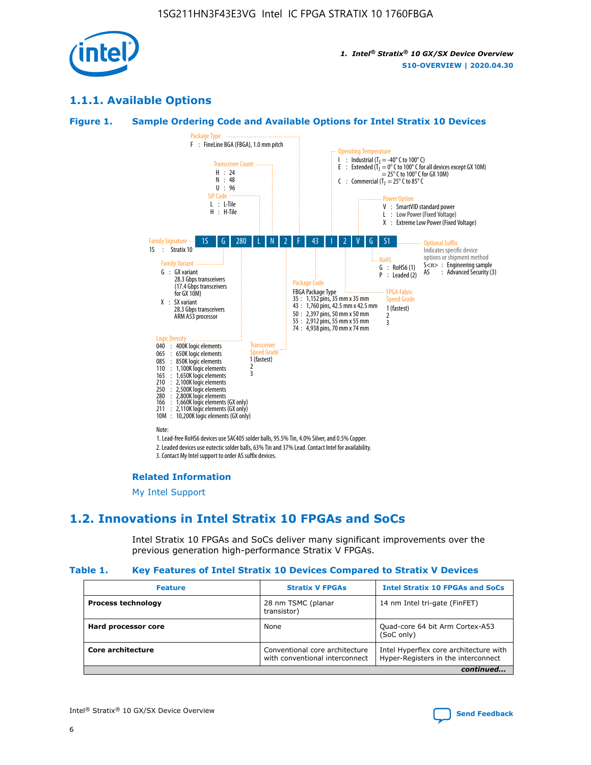

## **1.1.1. Available Options**

### **Figure 1. Sample Ordering Code and Available Options for Intel Stratix 10 Devices**



## **Related Information**

[My Intel Support](https://www.intel.com/content/www/us/en/programmable/my-intel/mal-home.html)

## **1.2. Innovations in Intel Stratix 10 FPGAs and SoCs**

Intel Stratix 10 FPGAs and SoCs deliver many significant improvements over the previous generation high-performance Stratix V FPGAs.

#### **Table 1. Key Features of Intel Stratix 10 Devices Compared to Stratix V Devices**

| <b>Feature</b>            | <b>Stratix V FPGAs</b>                                           | <b>Intel Stratix 10 FPGAs and SoCs</b>                                        |  |
|---------------------------|------------------------------------------------------------------|-------------------------------------------------------------------------------|--|
| <b>Process technology</b> | 28 nm TSMC (planar<br>transistor)                                | 14 nm Intel tri-gate (FinFET)                                                 |  |
| Hard processor core       | None                                                             | Quad-core 64 bit Arm Cortex-A53<br>(SoC only)                                 |  |
| Core architecture         | Conventional core architecture<br>with conventional interconnect | Intel Hyperflex core architecture with<br>Hyper-Registers in the interconnect |  |
|                           |                                                                  | continued                                                                     |  |

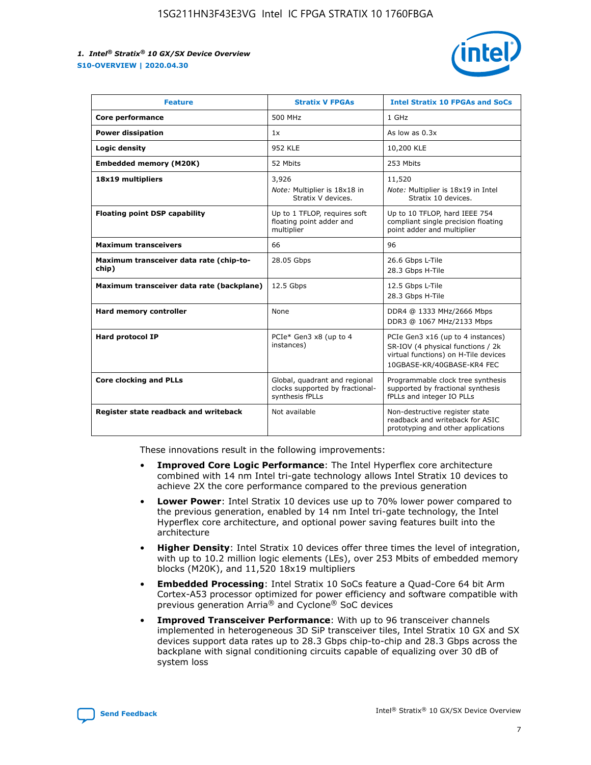

| <b>Feature</b>                                   | <b>Stratix V FPGAs</b>                                                              | <b>Intel Stratix 10 FPGAs and SoCs</b>                                                                                                       |
|--------------------------------------------------|-------------------------------------------------------------------------------------|----------------------------------------------------------------------------------------------------------------------------------------------|
| Core performance                                 | 500 MHz                                                                             | 1 GHz                                                                                                                                        |
| <b>Power dissipation</b>                         | 1x                                                                                  | As low as $0.3x$                                                                                                                             |
| Logic density                                    | 952 KLE                                                                             | 10,200 KLE                                                                                                                                   |
| <b>Embedded memory (M20K)</b>                    | 52 Mbits                                                                            | 253 Mbits                                                                                                                                    |
| 18x19 multipliers                                | 3,926                                                                               | 11,520                                                                                                                                       |
|                                                  | Note: Multiplier is 18x18 in<br>Stratix V devices.                                  | Note: Multiplier is 18x19 in Intel<br>Stratix 10 devices.                                                                                    |
| <b>Floating point DSP capability</b>             | Up to 1 TFLOP, requires soft<br>floating point adder and<br>multiplier              | Up to 10 TFLOP, hard IEEE 754<br>compliant single precision floating<br>point adder and multiplier                                           |
| <b>Maximum transceivers</b>                      | 66                                                                                  | 96                                                                                                                                           |
| Maximum transceiver data rate (chip-to-<br>chip) | 28.05 Gbps                                                                          | 26.6 Gbps L-Tile<br>28.3 Gbps H-Tile                                                                                                         |
| Maximum transceiver data rate (backplane)        | 12.5 Gbps                                                                           | 12.5 Gbps L-Tile<br>28.3 Gbps H-Tile                                                                                                         |
| Hard memory controller                           | None                                                                                | DDR4 @ 1333 MHz/2666 Mbps<br>DDR3 @ 1067 MHz/2133 Mbps                                                                                       |
| <b>Hard protocol IP</b>                          | PCIe* Gen3 x8 (up to 4<br>instances)                                                | PCIe Gen3 x16 (up to 4 instances)<br>SR-IOV (4 physical functions / 2k<br>virtual functions) on H-Tile devices<br>10GBASE-KR/40GBASE-KR4 FEC |
| <b>Core clocking and PLLs</b>                    | Global, quadrant and regional<br>clocks supported by fractional-<br>synthesis fPLLs | Programmable clock tree synthesis<br>supported by fractional synthesis<br>fPLLs and integer IO PLLs                                          |
| Register state readback and writeback            | Not available                                                                       | Non-destructive register state<br>readback and writeback for ASIC<br>prototyping and other applications                                      |

These innovations result in the following improvements:

- **Improved Core Logic Performance**: The Intel Hyperflex core architecture combined with 14 nm Intel tri-gate technology allows Intel Stratix 10 devices to achieve 2X the core performance compared to the previous generation
- **Lower Power**: Intel Stratix 10 devices use up to 70% lower power compared to the previous generation, enabled by 14 nm Intel tri-gate technology, the Intel Hyperflex core architecture, and optional power saving features built into the architecture
- **Higher Density**: Intel Stratix 10 devices offer three times the level of integration, with up to 10.2 million logic elements (LEs), over 253 Mbits of embedded memory blocks (M20K), and 11,520 18x19 multipliers
- **Embedded Processing**: Intel Stratix 10 SoCs feature a Quad-Core 64 bit Arm Cortex-A53 processor optimized for power efficiency and software compatible with previous generation Arria® and Cyclone® SoC devices
- **Improved Transceiver Performance**: With up to 96 transceiver channels implemented in heterogeneous 3D SiP transceiver tiles, Intel Stratix 10 GX and SX devices support data rates up to 28.3 Gbps chip-to-chip and 28.3 Gbps across the backplane with signal conditioning circuits capable of equalizing over 30 dB of system loss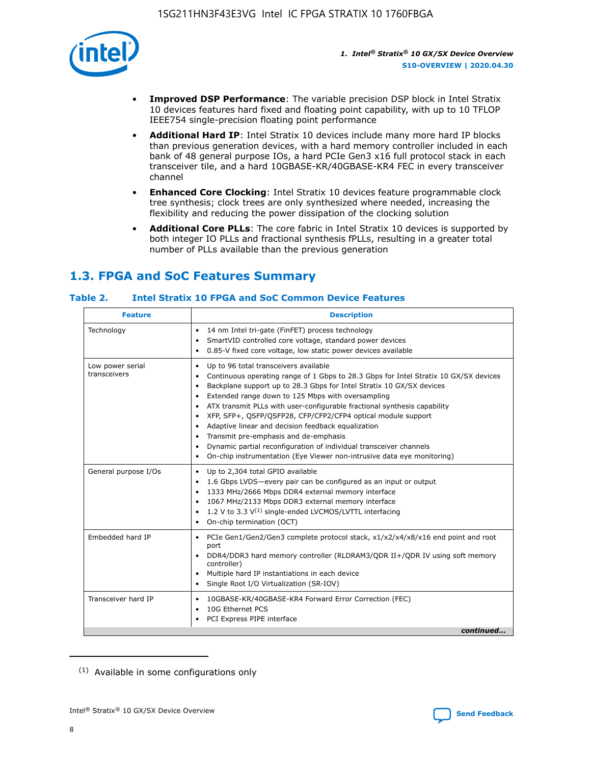

- **Improved DSP Performance**: The variable precision DSP block in Intel Stratix 10 devices features hard fixed and floating point capability, with up to 10 TFLOP IEEE754 single-precision floating point performance
- **Additional Hard IP**: Intel Stratix 10 devices include many more hard IP blocks than previous generation devices, with a hard memory controller included in each bank of 48 general purpose IOs, a hard PCIe Gen3 x16 full protocol stack in each transceiver tile, and a hard 10GBASE-KR/40GBASE-KR4 FEC in every transceiver channel
- **Enhanced Core Clocking**: Intel Stratix 10 devices feature programmable clock tree synthesis; clock trees are only synthesized where needed, increasing the flexibility and reducing the power dissipation of the clocking solution
- **Additional Core PLLs**: The core fabric in Intel Stratix 10 devices is supported by both integer IO PLLs and fractional synthesis fPLLs, resulting in a greater total number of PLLs available than the previous generation

## **1.3. FPGA and SoC Features Summary**

## **Table 2. Intel Stratix 10 FPGA and SoC Common Device Features**

| <b>Feature</b>                   | <b>Description</b>                                                                                                                                                                                                                                                                                                                                                                                                                                                                                                                                                                                                                                                             |
|----------------------------------|--------------------------------------------------------------------------------------------------------------------------------------------------------------------------------------------------------------------------------------------------------------------------------------------------------------------------------------------------------------------------------------------------------------------------------------------------------------------------------------------------------------------------------------------------------------------------------------------------------------------------------------------------------------------------------|
| Technology                       | 14 nm Intel tri-gate (FinFET) process technology<br>٠<br>SmartVID controlled core voltage, standard power devices<br>0.85-V fixed core voltage, low static power devices available                                                                                                                                                                                                                                                                                                                                                                                                                                                                                             |
| Low power serial<br>transceivers | Up to 96 total transceivers available<br>٠<br>Continuous operating range of 1 Gbps to 28.3 Gbps for Intel Stratix 10 GX/SX devices<br>Backplane support up to 28.3 Gbps for Intel Stratix 10 GX/SX devices<br>$\bullet$<br>Extended range down to 125 Mbps with oversampling<br>ATX transmit PLLs with user-configurable fractional synthesis capability<br>٠<br>XFP, SFP+, OSFP/OSFP28, CFP/CFP2/CFP4 optical module support<br>• Adaptive linear and decision feedback equalization<br>Transmit pre-emphasis and de-emphasis<br>Dynamic partial reconfiguration of individual transceiver channels<br>On-chip instrumentation (Eye Viewer non-intrusive data eye monitoring) |
| General purpose I/Os             | Up to 2,304 total GPIO available<br>$\bullet$<br>1.6 Gbps LVDS-every pair can be configured as an input or output<br>1333 MHz/2666 Mbps DDR4 external memory interface<br>1067 MHz/2133 Mbps DDR3 external memory interface<br>• 1.2 V to 3.3 $V^{(1)}$ single-ended LVCMOS/LVTTL interfacing<br>On-chip termination (OCT)                                                                                                                                                                                                                                                                                                                                                     |
| Embedded hard IP                 | • PCIe Gen1/Gen2/Gen3 complete protocol stack, x1/x2/x4/x8/x16 end point and root<br>port<br>DDR4/DDR3 hard memory controller (RLDRAM3/QDR II+/QDR IV using soft memory<br>controller)<br>Multiple hard IP instantiations in each device<br>$\bullet$<br>• Single Root I/O Virtualization (SR-IOV)                                                                                                                                                                                                                                                                                                                                                                             |
| Transceiver hard IP              | 10GBASE-KR/40GBASE-KR4 Forward Error Correction (FEC)<br>$\bullet$<br>10G Ethernet PCS<br>٠<br>PCI Express PIPE interface<br>continued                                                                                                                                                                                                                                                                                                                                                                                                                                                                                                                                         |
|                                  |                                                                                                                                                                                                                                                                                                                                                                                                                                                                                                                                                                                                                                                                                |

<sup>(1)</sup> Available in some configurations only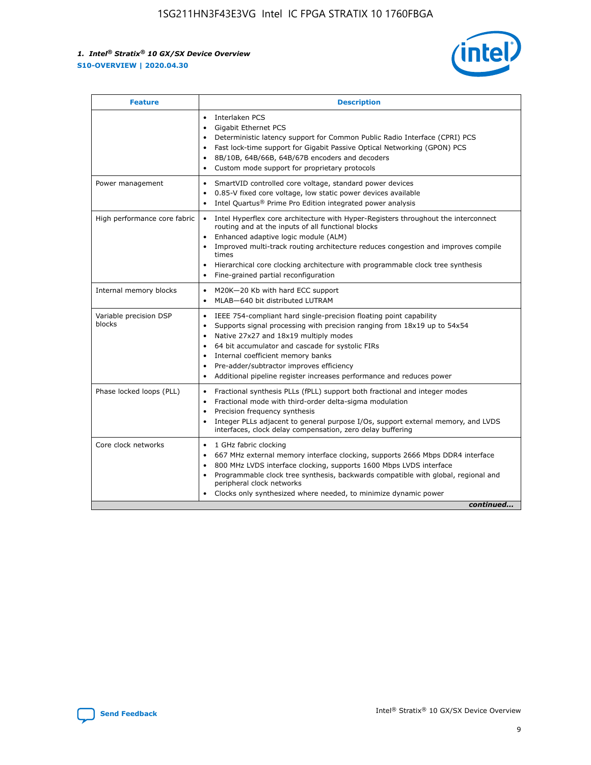

| <b>Feature</b>                   | <b>Description</b>                                                                                                                                                                                                                                                                                                                                                                                                                                                    |
|----------------------------------|-----------------------------------------------------------------------------------------------------------------------------------------------------------------------------------------------------------------------------------------------------------------------------------------------------------------------------------------------------------------------------------------------------------------------------------------------------------------------|
|                                  | Interlaken PCS<br>$\bullet$<br>Gigabit Ethernet PCS<br>$\bullet$<br>Deterministic latency support for Common Public Radio Interface (CPRI) PCS<br>$\bullet$<br>Fast lock-time support for Gigabit Passive Optical Networking (GPON) PCS<br>$\bullet$<br>8B/10B, 64B/66B, 64B/67B encoders and decoders<br>Custom mode support for proprietary protocols                                                                                                               |
| Power management                 | SmartVID controlled core voltage, standard power devices<br>$\bullet$<br>0.85-V fixed core voltage, low static power devices available<br>$\bullet$<br>Intel Quartus <sup>®</sup> Prime Pro Edition integrated power analysis<br>$\bullet$                                                                                                                                                                                                                            |
| High performance core fabric     | Intel Hyperflex core architecture with Hyper-Registers throughout the interconnect<br>routing and at the inputs of all functional blocks<br>Enhanced adaptive logic module (ALM)<br>$\bullet$<br>Improved multi-track routing architecture reduces congestion and improves compile<br>times<br>Hierarchical core clocking architecture with programmable clock tree synthesis<br>$\bullet$<br>Fine-grained partial reconfiguration                                    |
| Internal memory blocks           | M20K-20 Kb with hard ECC support<br>$\bullet$<br>MLAB-640 bit distributed LUTRAM<br>$\bullet$                                                                                                                                                                                                                                                                                                                                                                         |
| Variable precision DSP<br>blocks | IEEE 754-compliant hard single-precision floating point capability<br>$\bullet$<br>Supports signal processing with precision ranging from 18x19 up to 54x54<br>$\bullet$<br>Native 27x27 and 18x19 multiply modes<br>$\bullet$<br>64 bit accumulator and cascade for systolic FIRs<br>Internal coefficient memory banks<br>Pre-adder/subtractor improves efficiency<br>$\bullet$<br>Additional pipeline register increases performance and reduces power<br>$\bullet$ |
| Phase locked loops (PLL)         | Fractional synthesis PLLs (fPLL) support both fractional and integer modes<br>$\bullet$<br>Fractional mode with third-order delta-sigma modulation<br>Precision frequency synthesis<br>$\bullet$<br>Integer PLLs adjacent to general purpose I/Os, support external memory, and LVDS<br>$\bullet$<br>interfaces, clock delay compensation, zero delay buffering                                                                                                       |
| Core clock networks              | 1 GHz fabric clocking<br>$\bullet$<br>667 MHz external memory interface clocking, supports 2666 Mbps DDR4 interface<br>٠<br>800 MHz LVDS interface clocking, supports 1600 Mbps LVDS interface<br>$\bullet$<br>Programmable clock tree synthesis, backwards compatible with global, regional and<br>$\bullet$<br>peripheral clock networks<br>Clocks only synthesized where needed, to minimize dynamic power<br>continued                                            |

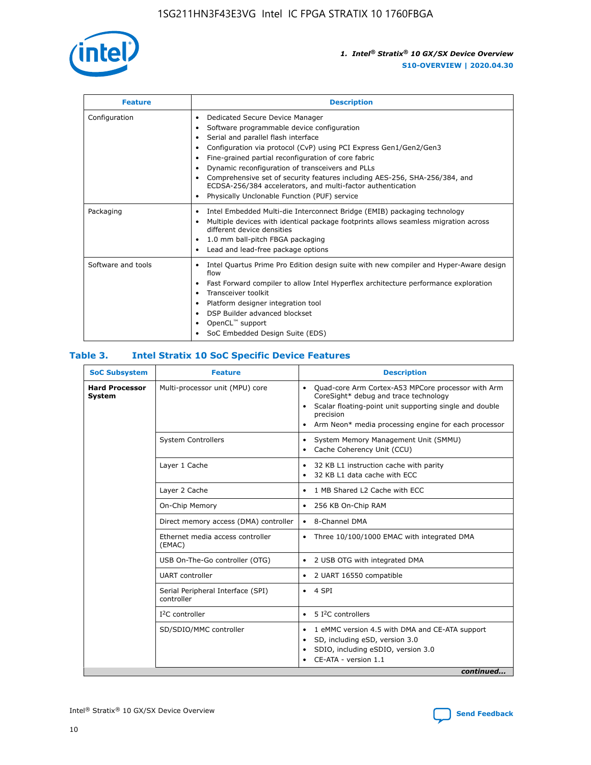

| <b>Feature</b>     | <b>Description</b>                                                                                                                                                                                                                                                                                                                                                                                                                                                                                                                                                   |
|--------------------|----------------------------------------------------------------------------------------------------------------------------------------------------------------------------------------------------------------------------------------------------------------------------------------------------------------------------------------------------------------------------------------------------------------------------------------------------------------------------------------------------------------------------------------------------------------------|
| Configuration      | Dedicated Secure Device Manager<br>$\bullet$<br>Software programmable device configuration<br>٠<br>Serial and parallel flash interface<br>٠<br>Configuration via protocol (CvP) using PCI Express Gen1/Gen2/Gen3<br>٠<br>Fine-grained partial reconfiguration of core fabric<br>$\bullet$<br>Dynamic reconfiguration of transceivers and PLLs<br>$\bullet$<br>Comprehensive set of security features including AES-256, SHA-256/384, and<br>ECDSA-256/384 accelerators, and multi-factor authentication<br>Physically Unclonable Function (PUF) service<br>$\bullet$ |
| Packaging          | Intel Embedded Multi-die Interconnect Bridge (EMIB) packaging technology<br>٠<br>Multiple devices with identical package footprints allows seamless migration across<br>$\bullet$<br>different device densities<br>1.0 mm ball-pitch FBGA packaging<br>$\bullet$<br>Lead and lead-free package options                                                                                                                                                                                                                                                               |
| Software and tools | Intel Quartus Prime Pro Edition design suite with new compiler and Hyper-Aware design<br>flow<br>Fast Forward compiler to allow Intel Hyperflex architecture performance exploration<br>$\bullet$<br>Transceiver toolkit<br>$\bullet$<br>Platform designer integration tool<br>DSP Builder advanced blockset<br>OpenCL <sup>™</sup> support<br>SoC Embedded Design Suite (EDS)                                                                                                                                                                                       |

## **Table 3. Intel Stratix 10 SoC Specific Device Features**

| <b>Hard Processor</b><br>Multi-processor unit (MPU) core<br>Quad-core Arm Cortex-A53 MPCore processor with Arm<br>$\bullet$<br>CoreSight* debug and trace technology<br>System<br>Scalar floating-point unit supporting single and double<br>$\bullet$<br>precision<br>Arm Neon* media processing engine for each processor<br>$\bullet$<br><b>System Controllers</b><br>System Memory Management Unit (SMMU)<br>$\bullet$<br>Cache Coherency Unit (CCU)<br>$\bullet$<br>Layer 1 Cache<br>32 KB L1 instruction cache with parity<br>$\bullet$<br>32 KB L1 data cache with ECC<br>$\bullet$<br>Layer 2 Cache<br>1 MB Shared L2 Cache with ECC<br>$\bullet$<br>On-Chip Memory<br>256 KB On-Chip RAM<br>٠<br>Direct memory access (DMA) controller<br>8-Channel DMA<br>$\bullet$<br>Ethernet media access controller<br>Three 10/100/1000 EMAC with integrated DMA<br>$\bullet$<br>(EMAC)<br>USB On-The-Go controller (OTG)<br>2 USB OTG with integrated DMA<br>$\bullet$<br><b>UART</b> controller<br>2 UART 16550 compatible<br>$\bullet$<br>Serial Peripheral Interface (SPI)<br>4 SPI<br>$\bullet$<br>controller<br>$I2C$ controller<br>5 I <sup>2</sup> C controllers<br>$\bullet$<br>SD/SDIO/MMC controller<br>1 eMMC version 4.5 with DMA and CE-ATA support<br>$\bullet$<br>SD, including eSD, version 3.0<br>$\bullet$<br>SDIO, including eSDIO, version 3.0<br>$\bullet$<br>CE-ATA - version 1.1 | <b>SoC Subsystem</b> | <b>Feature</b> | <b>Description</b> |
|---------------------------------------------------------------------------------------------------------------------------------------------------------------------------------------------------------------------------------------------------------------------------------------------------------------------------------------------------------------------------------------------------------------------------------------------------------------------------------------------------------------------------------------------------------------------------------------------------------------------------------------------------------------------------------------------------------------------------------------------------------------------------------------------------------------------------------------------------------------------------------------------------------------------------------------------------------------------------------------------------------------------------------------------------------------------------------------------------------------------------------------------------------------------------------------------------------------------------------------------------------------------------------------------------------------------------------------------------------------------------------------------------------|----------------------|----------------|--------------------|
|                                                                                                                                                                                                                                                                                                                                                                                                                                                                                                                                                                                                                                                                                                                                                                                                                                                                                                                                                                                                                                                                                                                                                                                                                                                                                                                                                                                                         |                      |                |                    |
|                                                                                                                                                                                                                                                                                                                                                                                                                                                                                                                                                                                                                                                                                                                                                                                                                                                                                                                                                                                                                                                                                                                                                                                                                                                                                                                                                                                                         |                      |                |                    |
|                                                                                                                                                                                                                                                                                                                                                                                                                                                                                                                                                                                                                                                                                                                                                                                                                                                                                                                                                                                                                                                                                                                                                                                                                                                                                                                                                                                                         |                      |                |                    |
|                                                                                                                                                                                                                                                                                                                                                                                                                                                                                                                                                                                                                                                                                                                                                                                                                                                                                                                                                                                                                                                                                                                                                                                                                                                                                                                                                                                                         |                      |                |                    |
|                                                                                                                                                                                                                                                                                                                                                                                                                                                                                                                                                                                                                                                                                                                                                                                                                                                                                                                                                                                                                                                                                                                                                                                                                                                                                                                                                                                                         |                      |                |                    |
|                                                                                                                                                                                                                                                                                                                                                                                                                                                                                                                                                                                                                                                                                                                                                                                                                                                                                                                                                                                                                                                                                                                                                                                                                                                                                                                                                                                                         |                      |                |                    |
|                                                                                                                                                                                                                                                                                                                                                                                                                                                                                                                                                                                                                                                                                                                                                                                                                                                                                                                                                                                                                                                                                                                                                                                                                                                                                                                                                                                                         |                      |                |                    |
|                                                                                                                                                                                                                                                                                                                                                                                                                                                                                                                                                                                                                                                                                                                                                                                                                                                                                                                                                                                                                                                                                                                                                                                                                                                                                                                                                                                                         |                      |                |                    |
|                                                                                                                                                                                                                                                                                                                                                                                                                                                                                                                                                                                                                                                                                                                                                                                                                                                                                                                                                                                                                                                                                                                                                                                                                                                                                                                                                                                                         |                      |                |                    |
|                                                                                                                                                                                                                                                                                                                                                                                                                                                                                                                                                                                                                                                                                                                                                                                                                                                                                                                                                                                                                                                                                                                                                                                                                                                                                                                                                                                                         |                      |                |                    |
|                                                                                                                                                                                                                                                                                                                                                                                                                                                                                                                                                                                                                                                                                                                                                                                                                                                                                                                                                                                                                                                                                                                                                                                                                                                                                                                                                                                                         |                      |                |                    |
| continued                                                                                                                                                                                                                                                                                                                                                                                                                                                                                                                                                                                                                                                                                                                                                                                                                                                                                                                                                                                                                                                                                                                                                                                                                                                                                                                                                                                               |                      |                |                    |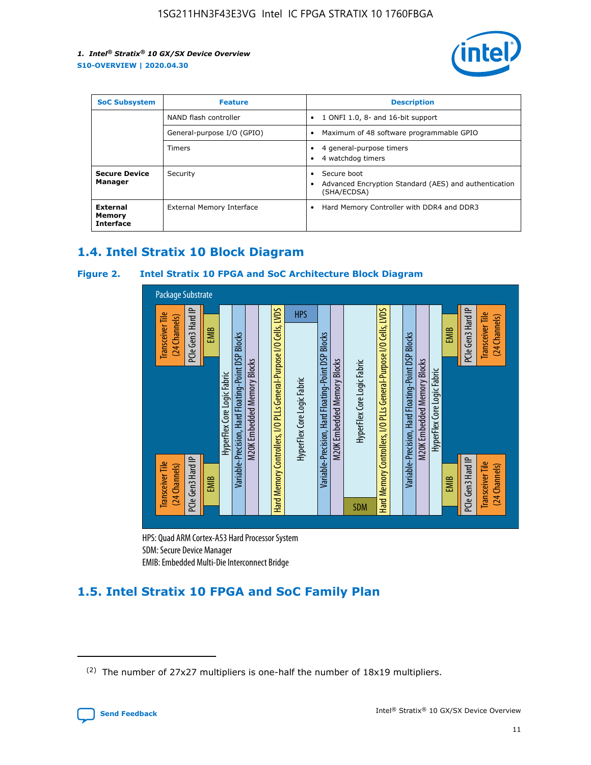

| <b>SoC Subsystem</b><br><b>Feature</b> |                            | <b>Description</b>                                                                               |  |  |
|----------------------------------------|----------------------------|--------------------------------------------------------------------------------------------------|--|--|
|                                        | NAND flash controller      | 1 ONFI 1.0, 8- and 16-bit support<br>٠                                                           |  |  |
|                                        | General-purpose I/O (GPIO) | Maximum of 48 software programmable GPIO<br>$\bullet$                                            |  |  |
|                                        | <b>Timers</b>              | 4 general-purpose timers<br>4 watchdog timers                                                    |  |  |
| <b>Secure Device</b><br>Manager        | Security                   | Secure boot<br>$\bullet$<br>Advanced Encryption Standard (AES) and authentication<br>(SHA/ECDSA) |  |  |
| External<br>Memory<br><b>Interface</b> | External Memory Interface  | Hard Memory Controller with DDR4 and DDR3<br>$\bullet$                                           |  |  |

## **1.4. Intel Stratix 10 Block Diagram**

## **Figure 2. Intel Stratix 10 FPGA and SoC Architecture Block Diagram**



HPS: Quad ARM Cortex-A53 Hard Processor System SDM: Secure Device Manager

## **1.5. Intel Stratix 10 FPGA and SoC Family Plan**

<sup>(2)</sup> The number of 27x27 multipliers is one-half the number of 18x19 multipliers.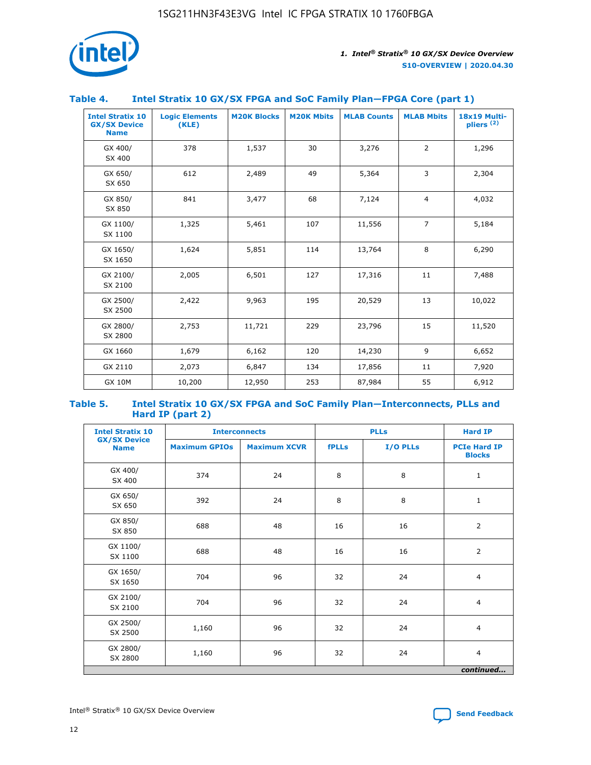

## **Table 4. Intel Stratix 10 GX/SX FPGA and SoC Family Plan—FPGA Core (part 1)**

| <b>Intel Stratix 10</b><br><b>GX/SX Device</b><br><b>Name</b> | <b>Logic Elements</b><br>(KLE) | <b>M20K Blocks</b> | <b>M20K Mbits</b> | <b>MLAB Counts</b> | <b>MLAB Mbits</b> | 18x19 Multi-<br>pliers <sup>(2)</sup> |
|---------------------------------------------------------------|--------------------------------|--------------------|-------------------|--------------------|-------------------|---------------------------------------|
| GX 400/<br>SX 400                                             | 378                            | 1,537              | 30                | 3,276              | 2                 | 1,296                                 |
| GX 650/<br>SX 650                                             | 612                            | 2,489              | 49                | 5,364              | 3                 | 2,304                                 |
| GX 850/<br>SX 850                                             | 841                            | 3,477              | 68                | 7,124              | $\overline{4}$    | 4,032                                 |
| GX 1100/<br>SX 1100                                           | 1,325                          | 5,461              | 107               | 11,556             | $\overline{7}$    | 5,184                                 |
| GX 1650/<br>SX 1650                                           | 1,624                          | 5,851              | 114               | 13,764             | 8                 | 6,290                                 |
| GX 2100/<br>SX 2100                                           | 2,005                          | 6,501              | 127               | 17,316             | 11                | 7,488                                 |
| GX 2500/<br>SX 2500                                           | 2,422                          | 9,963              | 195               | 20,529             | 13                | 10,022                                |
| GX 2800/<br>SX 2800                                           | 2,753                          | 11,721             | 229               | 23,796             | 15                | 11,520                                |
| GX 1660                                                       | 1,679                          | 6,162              | 120               | 14,230             | 9                 | 6,652                                 |
| GX 2110                                                       | 2,073                          | 6,847              | 134               | 17,856             | 11                | 7,920                                 |
| <b>GX 10M</b>                                                 | 10,200                         | 12,950             | 253               | 87,984             | 55                | 6,912                                 |

#### **Table 5. Intel Stratix 10 GX/SX FPGA and SoC Family Plan—Interconnects, PLLs and Hard IP (part 2)**

| <b>Intel Stratix 10</b>            | <b>Interconnects</b> |                     |              | <b>PLLs</b> | <b>Hard IP</b>                       |  |
|------------------------------------|----------------------|---------------------|--------------|-------------|--------------------------------------|--|
| <b>GX/SX Device</b><br><b>Name</b> | <b>Maximum GPIOs</b> | <b>Maximum XCVR</b> | <b>fPLLs</b> | I/O PLLs    | <b>PCIe Hard IP</b><br><b>Blocks</b> |  |
| GX 400/<br>SX 400                  | 374                  | 24                  | 8            | 8           | $\mathbf{1}$                         |  |
| GX 650/<br>SX 650                  | 392                  | 24                  | 8            | 8           | $\mathbf{1}$                         |  |
| GX 850/<br>SX 850                  | 688                  | 48                  | 16           | 16          | 2                                    |  |
| GX 1100/<br>SX 1100                | 688                  | 48                  | 16           | 16          | 2                                    |  |
| GX 1650/<br>SX 1650                | 704                  | 96                  | 32           | 24          | $\overline{4}$                       |  |
| GX 2100/<br>SX 2100                | 704                  | 96                  | 32           | 24          | $\overline{4}$                       |  |
| GX 2500/<br>SX 2500                | 1,160                | 96                  | 32           | 24          | $\overline{4}$                       |  |
| GX 2800/<br>SX 2800                | 1,160                | 96                  | 32           | 24          | $\overline{4}$                       |  |
| continued                          |                      |                     |              |             |                                      |  |

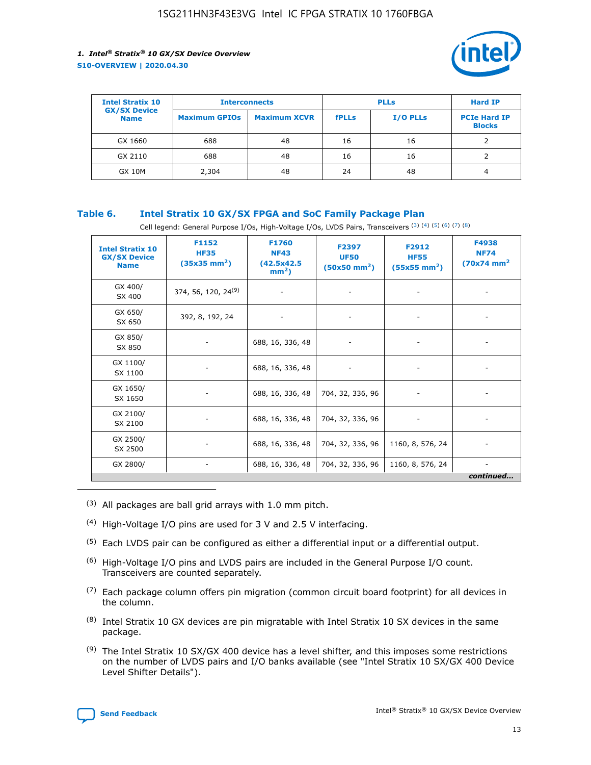

| <b>Intel Stratix 10</b>            |                      | <b>Interconnects</b> |              | <b>PLLs</b>     | <b>Hard IP</b>                       |
|------------------------------------|----------------------|----------------------|--------------|-----------------|--------------------------------------|
| <b>GX/SX Device</b><br><b>Name</b> | <b>Maximum GPIOs</b> | <b>Maximum XCVR</b>  | <b>fPLLs</b> | <b>I/O PLLs</b> | <b>PCIe Hard IP</b><br><b>Blocks</b> |
| GX 1660                            | 688                  | 48                   | 16           | 16              |                                      |
| GX 2110                            | 688                  | 48                   | 16           | 16              |                                      |
| <b>GX 10M</b>                      | 2,304                | 48                   | 24           | 48              | 4                                    |

## **Table 6. Intel Stratix 10 GX/SX FPGA and SoC Family Package Plan**

Cell legend: General Purpose I/Os, High-Voltage I/Os, LVDS Pairs, Transceivers (3) (4) (5) (6) (7) (8)

| <b>Intel Stratix 10</b><br><b>GX/SX Device</b><br><b>Name</b> | F1152<br><b>HF35</b><br>$(35x35)$ mm <sup>2</sup> ) | <b>F1760</b><br><b>NF43</b><br>(42.5x42.5<br>$mm2$ ) | F2397<br><b>UF50</b><br>$(50x50 \text{ mm}^2)$ | F2912<br><b>HF55</b><br>$(55x55 \text{ mm}^2)$ | F4938<br><b>NF74</b><br>$(70x74)$ mm <sup>2</sup> |
|---------------------------------------------------------------|-----------------------------------------------------|------------------------------------------------------|------------------------------------------------|------------------------------------------------|---------------------------------------------------|
| GX 400/<br>SX 400                                             | 374, 56, 120, 24 <sup>(9)</sup>                     | $\overline{\phantom{a}}$                             | $\overline{\phantom{a}}$                       |                                                |                                                   |
| GX 650/<br>SX 650                                             | 392, 8, 192, 24                                     | ٠                                                    | $\qquad \qquad \blacksquare$                   |                                                |                                                   |
| GX 850/<br>SX 850                                             | $\overline{\phantom{a}}$                            | 688, 16, 336, 48                                     | $\overline{\phantom{a}}$                       |                                                |                                                   |
| GX 1100/<br>SX 1100                                           | ۰                                                   | 688, 16, 336, 48                                     |                                                |                                                |                                                   |
| GX 1650/<br>SX 1650                                           |                                                     | 688, 16, 336, 48                                     | 704, 32, 336, 96                               | $\overline{\phantom{a}}$                       | $\overline{\phantom{0}}$                          |
| GX 2100/<br>SX 2100                                           |                                                     | 688, 16, 336, 48                                     | 704, 32, 336, 96                               | $\overline{\phantom{a}}$                       | ٠                                                 |
| GX 2500/<br>SX 2500                                           |                                                     | 688, 16, 336, 48                                     | 704, 32, 336, 96                               | 1160, 8, 576, 24                               |                                                   |
| GX 2800/                                                      | -                                                   | 688, 16, 336, 48                                     | 704, 32, 336, 96                               | 1160, 8, 576, 24                               | continued                                         |

- (3) All packages are ball grid arrays with 1.0 mm pitch.
- (4) High-Voltage I/O pins are used for 3 V and 2.5 V interfacing.
- $(5)$  Each LVDS pair can be configured as either a differential input or a differential output.
- (6) High-Voltage I/O pins and LVDS pairs are included in the General Purpose I/O count. Transceivers are counted separately.
- $(7)$  Each package column offers pin migration (common circuit board footprint) for all devices in the column.
- $(8)$  Intel Stratix 10 GX devices are pin migratable with Intel Stratix 10 SX devices in the same package.
- $(9)$  The Intel Stratix 10 SX/GX 400 device has a level shifter, and this imposes some restrictions on the number of LVDS pairs and I/O banks available (see "Intel Stratix 10 SX/GX 400 Device Level Shifter Details").

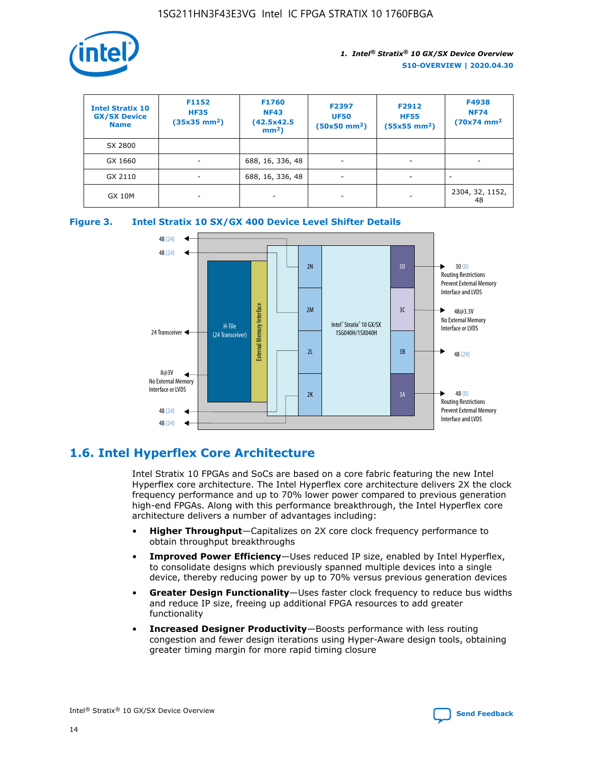

| <b>Intel Stratix 10</b><br><b>GX/SX Device</b><br><b>Name</b> | F1152<br><b>HF35</b><br>$(35x35 \text{ mm}^2)$ | F1760<br><b>NF43</b><br>(42.5x42.5<br>$mm2$ ) | F2397<br><b>UF50</b><br>$(50x50 \text{ mm}^2)$ | F2912<br><b>HF55</b><br>$(55x55$ mm <sup>2</sup> ) | F4938<br><b>NF74</b><br>$(70x74)$ mm <sup>2</sup> |
|---------------------------------------------------------------|------------------------------------------------|-----------------------------------------------|------------------------------------------------|----------------------------------------------------|---------------------------------------------------|
| SX 2800                                                       |                                                |                                               |                                                |                                                    |                                                   |
| GX 1660                                                       | ٠                                              | 688, 16, 336, 48                              | ٠                                              |                                                    |                                                   |
| GX 2110                                                       |                                                | 688, 16, 336, 48                              | $\overline{\phantom{a}}$                       |                                                    |                                                   |
| <b>GX 10M</b>                                                 | ۰                                              | -                                             | -                                              |                                                    | 2304, 32, 1152,<br>48                             |





## **1.6. Intel Hyperflex Core Architecture**

Intel Stratix 10 FPGAs and SoCs are based on a core fabric featuring the new Intel Hyperflex core architecture. The Intel Hyperflex core architecture delivers 2X the clock frequency performance and up to 70% lower power compared to previous generation high-end FPGAs. Along with this performance breakthrough, the Intel Hyperflex core architecture delivers a number of advantages including:

- **Higher Throughput**—Capitalizes on 2X core clock frequency performance to obtain throughput breakthroughs
- **Improved Power Efficiency**—Uses reduced IP size, enabled by Intel Hyperflex, to consolidate designs which previously spanned multiple devices into a single device, thereby reducing power by up to 70% versus previous generation devices
- **Greater Design Functionality**—Uses faster clock frequency to reduce bus widths and reduce IP size, freeing up additional FPGA resources to add greater functionality
- **Increased Designer Productivity**—Boosts performance with less routing congestion and fewer design iterations using Hyper-Aware design tools, obtaining greater timing margin for more rapid timing closure

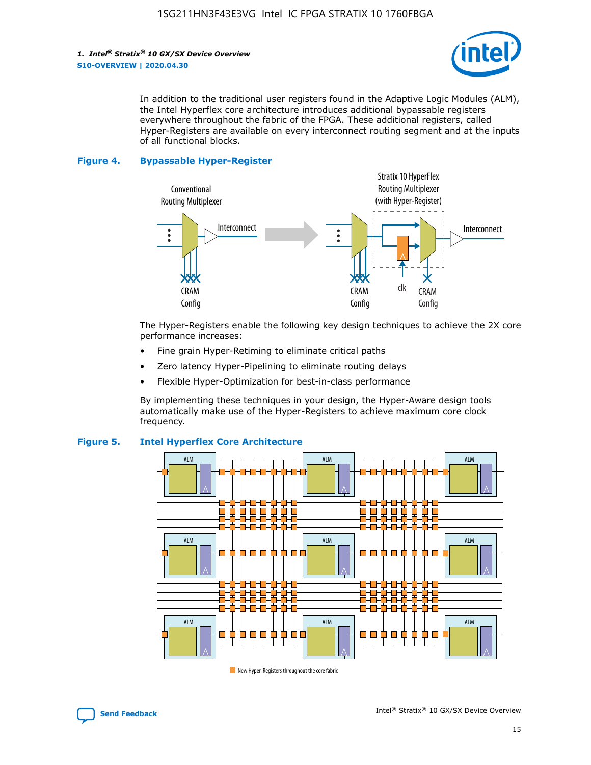

In addition to the traditional user registers found in the Adaptive Logic Modules (ALM), the Intel Hyperflex core architecture introduces additional bypassable registers everywhere throughout the fabric of the FPGA. These additional registers, called Hyper-Registers are available on every interconnect routing segment and at the inputs of all functional blocks.

#### **Figure 4. Bypassable Hyper-Register**



The Hyper-Registers enable the following key design techniques to achieve the 2X core performance increases:

- Fine grain Hyper-Retiming to eliminate critical paths
- Zero latency Hyper-Pipelining to eliminate routing delays
- Flexible Hyper-Optimization for best-in-class performance

By implementing these techniques in your design, the Hyper-Aware design tools automatically make use of the Hyper-Registers to achieve maximum core clock frequency.



## **Figure 5. Intel Hyperflex Core Architecture**

New Hyper-Registers throughout the core fabric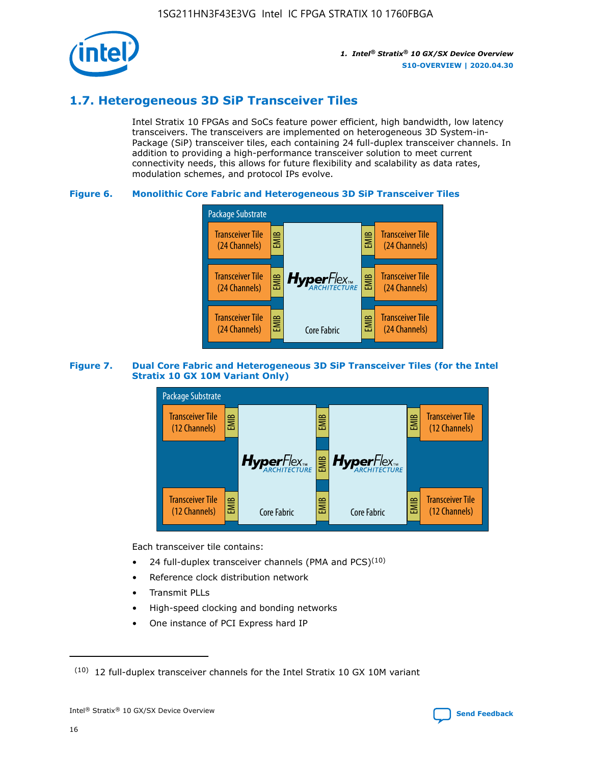

## **1.7. Heterogeneous 3D SiP Transceiver Tiles**

Intel Stratix 10 FPGAs and SoCs feature power efficient, high bandwidth, low latency transceivers. The transceivers are implemented on heterogeneous 3D System-in-Package (SiP) transceiver tiles, each containing 24 full-duplex transceiver channels. In addition to providing a high-performance transceiver solution to meet current connectivity needs, this allows for future flexibility and scalability as data rates, modulation schemes, and protocol IPs evolve.

## **Figure 6. Monolithic Core Fabric and Heterogeneous 3D SiP Transceiver Tiles**



## **Figure 7. Dual Core Fabric and Heterogeneous 3D SiP Transceiver Tiles (for the Intel Stratix 10 GX 10M Variant Only)**



Each transceiver tile contains:

- 24 full-duplex transceiver channels (PMA and PCS) $(10)$
- Reference clock distribution network
- Transmit PLLs
- High-speed clocking and bonding networks
- One instance of PCI Express hard IP

 $(10)$  12 full-duplex transceiver channels for the Intel Stratix 10 GX 10M variant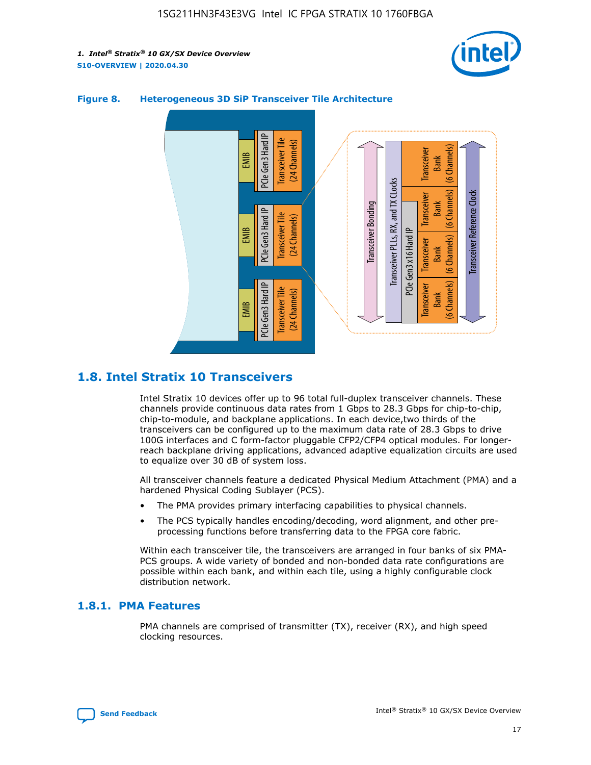



## **Figure 8. Heterogeneous 3D SiP Transceiver Tile Architecture**

## **1.8. Intel Stratix 10 Transceivers**

Intel Stratix 10 devices offer up to 96 total full-duplex transceiver channels. These channels provide continuous data rates from 1 Gbps to 28.3 Gbps for chip-to-chip, chip-to-module, and backplane applications. In each device,two thirds of the transceivers can be configured up to the maximum data rate of 28.3 Gbps to drive 100G interfaces and C form-factor pluggable CFP2/CFP4 optical modules. For longerreach backplane driving applications, advanced adaptive equalization circuits are used to equalize over 30 dB of system loss.

All transceiver channels feature a dedicated Physical Medium Attachment (PMA) and a hardened Physical Coding Sublayer (PCS).

- The PMA provides primary interfacing capabilities to physical channels.
- The PCS typically handles encoding/decoding, word alignment, and other preprocessing functions before transferring data to the FPGA core fabric.

Within each transceiver tile, the transceivers are arranged in four banks of six PMA-PCS groups. A wide variety of bonded and non-bonded data rate configurations are possible within each bank, and within each tile, using a highly configurable clock distribution network.

## **1.8.1. PMA Features**

PMA channels are comprised of transmitter (TX), receiver (RX), and high speed clocking resources.

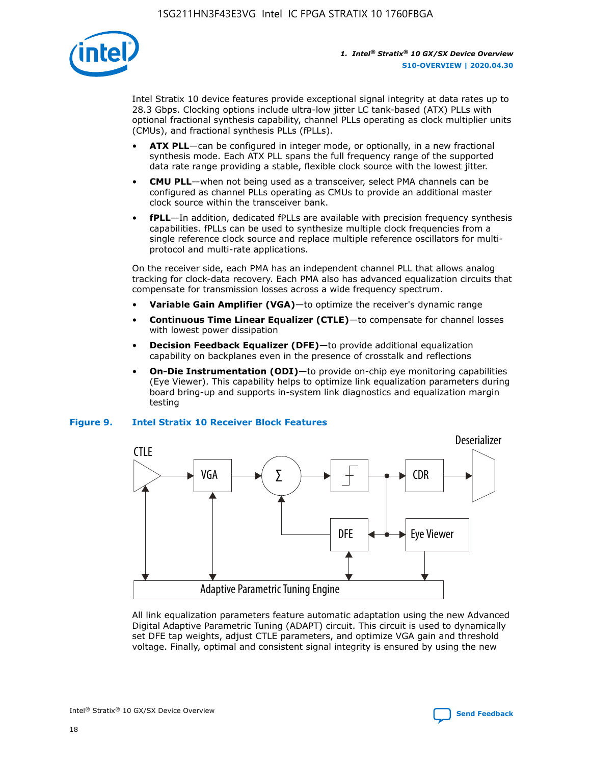

Intel Stratix 10 device features provide exceptional signal integrity at data rates up to 28.3 Gbps. Clocking options include ultra-low jitter LC tank-based (ATX) PLLs with optional fractional synthesis capability, channel PLLs operating as clock multiplier units (CMUs), and fractional synthesis PLLs (fPLLs).

- **ATX PLL**—can be configured in integer mode, or optionally, in a new fractional synthesis mode. Each ATX PLL spans the full frequency range of the supported data rate range providing a stable, flexible clock source with the lowest jitter.
- **CMU PLL**—when not being used as a transceiver, select PMA channels can be configured as channel PLLs operating as CMUs to provide an additional master clock source within the transceiver bank.
- **fPLL**—In addition, dedicated fPLLs are available with precision frequency synthesis capabilities. fPLLs can be used to synthesize multiple clock frequencies from a single reference clock source and replace multiple reference oscillators for multiprotocol and multi-rate applications.

On the receiver side, each PMA has an independent channel PLL that allows analog tracking for clock-data recovery. Each PMA also has advanced equalization circuits that compensate for transmission losses across a wide frequency spectrum.

- **Variable Gain Amplifier (VGA)**—to optimize the receiver's dynamic range
- **Continuous Time Linear Equalizer (CTLE)**—to compensate for channel losses with lowest power dissipation
- **Decision Feedback Equalizer (DFE)**—to provide additional equalization capability on backplanes even in the presence of crosstalk and reflections
- **On-Die Instrumentation (ODI)**—to provide on-chip eye monitoring capabilities (Eye Viewer). This capability helps to optimize link equalization parameters during board bring-up and supports in-system link diagnostics and equalization margin testing

#### **Figure 9. Intel Stratix 10 Receiver Block Features**



All link equalization parameters feature automatic adaptation using the new Advanced Digital Adaptive Parametric Tuning (ADAPT) circuit. This circuit is used to dynamically set DFE tap weights, adjust CTLE parameters, and optimize VGA gain and threshold voltage. Finally, optimal and consistent signal integrity is ensured by using the new



Intel<sup>®</sup> Stratix<sup>®</sup> 10 GX/SX Device Overview **[Send Feedback](mailto:FPGAtechdocfeedback@intel.com?subject=Feedback%20on%20Intel%20Stratix%2010%20GX/SX%20Device%20Overview%20(S10-OVERVIEW%202020.04.30)&body=We%20appreciate%20your%20feedback.%20In%20your%20comments,%20also%20specify%20the%20page%20number%20or%20paragraph.%20Thank%20you.)** Send Feedback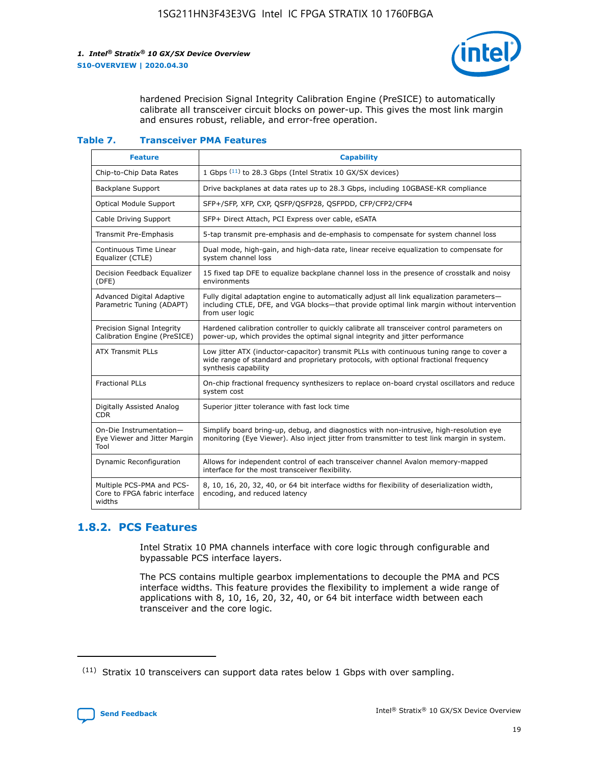

hardened Precision Signal Integrity Calibration Engine (PreSICE) to automatically calibrate all transceiver circuit blocks on power-up. This gives the most link margin and ensures robust, reliable, and error-free operation.

#### **Table 7. Transceiver PMA Features**

| <b>Feature</b>                                                       | <b>Capability</b>                                                                                                                                                                                         |
|----------------------------------------------------------------------|-----------------------------------------------------------------------------------------------------------------------------------------------------------------------------------------------------------|
| Chip-to-Chip Data Rates                                              | 1 Gbps (11) to 28.3 Gbps (Intel Stratix 10 GX/SX devices)                                                                                                                                                 |
| <b>Backplane Support</b>                                             | Drive backplanes at data rates up to 28.3 Gbps, including 10GBASE-KR compliance                                                                                                                           |
| Optical Module Support                                               | SFP+/SFP, XFP, CXP, QSFP/QSFP28, QSFPDD, CFP/CFP2/CFP4                                                                                                                                                    |
| Cable Driving Support                                                | SFP+ Direct Attach, PCI Express over cable, eSATA                                                                                                                                                         |
| <b>Transmit Pre-Emphasis</b>                                         | 5-tap transmit pre-emphasis and de-emphasis to compensate for system channel loss                                                                                                                         |
| Continuous Time Linear<br>Equalizer (CTLE)                           | Dual mode, high-gain, and high-data rate, linear receive equalization to compensate for<br>system channel loss                                                                                            |
| Decision Feedback Equalizer<br>(DFE)                                 | 15 fixed tap DFE to equalize backplane channel loss in the presence of crosstalk and noisy<br>environments                                                                                                |
| Advanced Digital Adaptive<br>Parametric Tuning (ADAPT)               | Fully digital adaptation engine to automatically adjust all link equalization parameters-<br>including CTLE, DFE, and VGA blocks—that provide optimal link margin without intervention<br>from user logic |
| Precision Signal Integrity<br>Calibration Engine (PreSICE)           | Hardened calibration controller to quickly calibrate all transceiver control parameters on<br>power-up, which provides the optimal signal integrity and jitter performance                                |
| <b>ATX Transmit PLLs</b>                                             | Low jitter ATX (inductor-capacitor) transmit PLLs with continuous tuning range to cover a<br>wide range of standard and proprietary protocols, with optional fractional frequency<br>synthesis capability |
| <b>Fractional PLLs</b>                                               | On-chip fractional frequency synthesizers to replace on-board crystal oscillators and reduce<br>system cost                                                                                               |
| Digitally Assisted Analog<br>CDR.                                    | Superior jitter tolerance with fast lock time                                                                                                                                                             |
| On-Die Instrumentation-<br>Eye Viewer and Jitter Margin<br>Tool      | Simplify board bring-up, debug, and diagnostics with non-intrusive, high-resolution eye<br>monitoring (Eye Viewer). Also inject jitter from transmitter to test link margin in system.                    |
| Dynamic Reconfiguration                                              | Allows for independent control of each transceiver channel Avalon memory-mapped<br>interface for the most transceiver flexibility.                                                                        |
| Multiple PCS-PMA and PCS-<br>Core to FPGA fabric interface<br>widths | 8, 10, 16, 20, 32, 40, or 64 bit interface widths for flexibility of deserialization width,<br>encoding, and reduced latency                                                                              |

## **1.8.2. PCS Features**

Intel Stratix 10 PMA channels interface with core logic through configurable and bypassable PCS interface layers.

The PCS contains multiple gearbox implementations to decouple the PMA and PCS interface widths. This feature provides the flexibility to implement a wide range of applications with 8, 10, 16, 20, 32, 40, or 64 bit interface width between each transceiver and the core logic.

 $(11)$  Stratix 10 transceivers can support data rates below 1 Gbps with over sampling.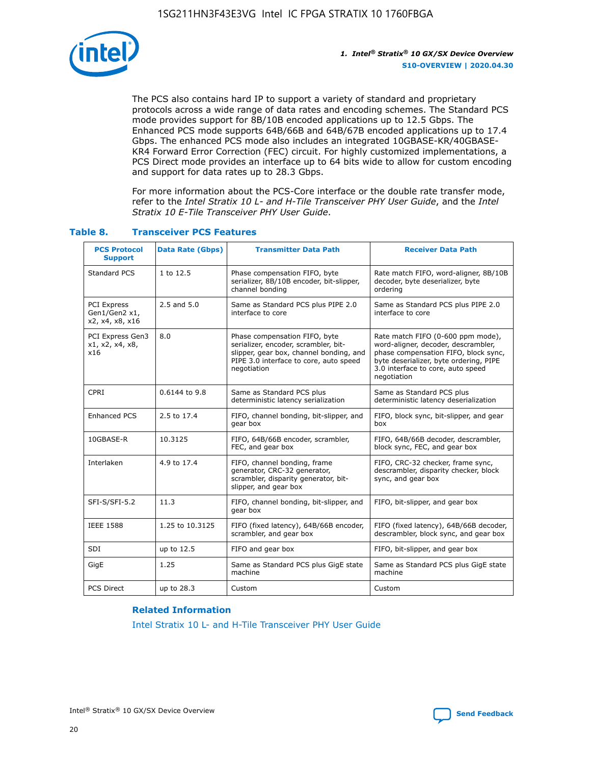

The PCS also contains hard IP to support a variety of standard and proprietary protocols across a wide range of data rates and encoding schemes. The Standard PCS mode provides support for 8B/10B encoded applications up to 12.5 Gbps. The Enhanced PCS mode supports 64B/66B and 64B/67B encoded applications up to 17.4 Gbps. The enhanced PCS mode also includes an integrated 10GBASE-KR/40GBASE-KR4 Forward Error Correction (FEC) circuit. For highly customized implementations, a PCS Direct mode provides an interface up to 64 bits wide to allow for custom encoding and support for data rates up to 28.3 Gbps.

For more information about the PCS-Core interface or the double rate transfer mode, refer to the *Intel Stratix 10 L- and H-Tile Transceiver PHY User Guide*, and the *Intel Stratix 10 E-Tile Transceiver PHY User Guide*.

| <b>PCS Protocol</b><br><b>Support</b>                  | <b>Data Rate (Gbps)</b> | <b>Transmitter Data Path</b>                                                                                                                                              | <b>Receiver Data Path</b>                                                                                                                                                                                      |
|--------------------------------------------------------|-------------------------|---------------------------------------------------------------------------------------------------------------------------------------------------------------------------|----------------------------------------------------------------------------------------------------------------------------------------------------------------------------------------------------------------|
| Standard PCS                                           | 1 to 12.5               | Phase compensation FIFO, byte<br>serializer, 8B/10B encoder, bit-slipper,<br>channel bonding                                                                              | Rate match FIFO, word-aligner, 8B/10B<br>decoder, byte deserializer, byte<br>ordering                                                                                                                          |
| <b>PCI Express</b><br>Gen1/Gen2 x1,<br>x2, x4, x8, x16 | $2.5$ and $5.0$         | Same as Standard PCS plus PIPE 2.0<br>interface to core                                                                                                                   | Same as Standard PCS plus PIPE 2.0<br>interface to core                                                                                                                                                        |
| PCI Express Gen3<br>x1, x2, x4, x8,<br>x16             | 8.0                     | Phase compensation FIFO, byte<br>serializer, encoder, scrambler, bit-<br>slipper, gear box, channel bonding, and<br>PIPE 3.0 interface to core, auto speed<br>negotiation | Rate match FIFO (0-600 ppm mode),<br>word-aligner, decoder, descrambler,<br>phase compensation FIFO, block sync,<br>byte deserializer, byte ordering, PIPE<br>3.0 interface to core, auto speed<br>negotiation |
| CPRI                                                   | 0.6144 to 9.8           | Same as Standard PCS plus<br>deterministic latency serialization                                                                                                          | Same as Standard PCS plus<br>deterministic latency deserialization                                                                                                                                             |
| <b>Enhanced PCS</b>                                    | 2.5 to 17.4             | FIFO, channel bonding, bit-slipper, and<br>gear box                                                                                                                       | FIFO, block sync, bit-slipper, and gear<br>box                                                                                                                                                                 |
| 10GBASE-R                                              | 10.3125                 | FIFO, 64B/66B encoder, scrambler,<br>FEC, and gear box                                                                                                                    | FIFO, 64B/66B decoder, descrambler,<br>block sync, FEC, and gear box                                                                                                                                           |
| Interlaken                                             | 4.9 to 17.4             | FIFO, channel bonding, frame<br>generator, CRC-32 generator,<br>scrambler, disparity generator, bit-<br>slipper, and gear box                                             | FIFO, CRC-32 checker, frame sync,<br>descrambler, disparity checker, block<br>sync, and gear box                                                                                                               |
| SFI-S/SFI-5.2                                          | 11.3                    | FIFO, channel bonding, bit-slipper, and<br>gear box                                                                                                                       | FIFO, bit-slipper, and gear box                                                                                                                                                                                |
| <b>IEEE 1588</b>                                       | 1.25 to 10.3125         | FIFO (fixed latency), 64B/66B encoder,<br>scrambler, and gear box                                                                                                         | FIFO (fixed latency), 64B/66B decoder,<br>descrambler, block sync, and gear box                                                                                                                                |
| SDI                                                    | up to 12.5              | FIFO and gear box                                                                                                                                                         | FIFO, bit-slipper, and gear box                                                                                                                                                                                |
| GigE                                                   | 1.25                    | Same as Standard PCS plus GigE state<br>machine                                                                                                                           | Same as Standard PCS plus GigE state<br>machine                                                                                                                                                                |
| <b>PCS Direct</b>                                      | up to 28.3              | Custom                                                                                                                                                                    | Custom                                                                                                                                                                                                         |

## **Table 8. Transceiver PCS Features**

#### **Related Information**

[Intel Stratix 10 L- and H-Tile Transceiver PHY User Guide](https://www.altera.com/documentation/wry1479165198810.html)

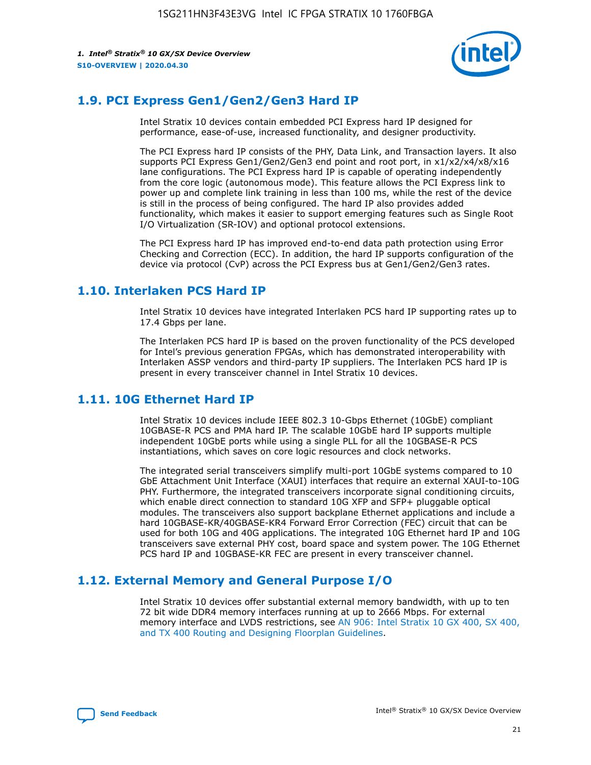

## **1.9. PCI Express Gen1/Gen2/Gen3 Hard IP**

Intel Stratix 10 devices contain embedded PCI Express hard IP designed for performance, ease-of-use, increased functionality, and designer productivity.

The PCI Express hard IP consists of the PHY, Data Link, and Transaction layers. It also supports PCI Express Gen1/Gen2/Gen3 end point and root port, in x1/x2/x4/x8/x16 lane configurations. The PCI Express hard IP is capable of operating independently from the core logic (autonomous mode). This feature allows the PCI Express link to power up and complete link training in less than 100 ms, while the rest of the device is still in the process of being configured. The hard IP also provides added functionality, which makes it easier to support emerging features such as Single Root I/O Virtualization (SR-IOV) and optional protocol extensions.

The PCI Express hard IP has improved end-to-end data path protection using Error Checking and Correction (ECC). In addition, the hard IP supports configuration of the device via protocol (CvP) across the PCI Express bus at Gen1/Gen2/Gen3 rates.

## **1.10. Interlaken PCS Hard IP**

Intel Stratix 10 devices have integrated Interlaken PCS hard IP supporting rates up to 17.4 Gbps per lane.

The Interlaken PCS hard IP is based on the proven functionality of the PCS developed for Intel's previous generation FPGAs, which has demonstrated interoperability with Interlaken ASSP vendors and third-party IP suppliers. The Interlaken PCS hard IP is present in every transceiver channel in Intel Stratix 10 devices.

## **1.11. 10G Ethernet Hard IP**

Intel Stratix 10 devices include IEEE 802.3 10-Gbps Ethernet (10GbE) compliant 10GBASE-R PCS and PMA hard IP. The scalable 10GbE hard IP supports multiple independent 10GbE ports while using a single PLL for all the 10GBASE-R PCS instantiations, which saves on core logic resources and clock networks.

The integrated serial transceivers simplify multi-port 10GbE systems compared to 10 GbE Attachment Unit Interface (XAUI) interfaces that require an external XAUI-to-10G PHY. Furthermore, the integrated transceivers incorporate signal conditioning circuits, which enable direct connection to standard 10G XFP and SFP+ pluggable optical modules. The transceivers also support backplane Ethernet applications and include a hard 10GBASE-KR/40GBASE-KR4 Forward Error Correction (FEC) circuit that can be used for both 10G and 40G applications. The integrated 10G Ethernet hard IP and 10G transceivers save external PHY cost, board space and system power. The 10G Ethernet PCS hard IP and 10GBASE-KR FEC are present in every transceiver channel.

## **1.12. External Memory and General Purpose I/O**

Intel Stratix 10 devices offer substantial external memory bandwidth, with up to ten 72 bit wide DDR4 memory interfaces running at up to 2666 Mbps. For external memory interface and LVDS restrictions, see [AN 906: Intel Stratix 10 GX 400, SX 400,](https://www.intel.com/content/www/us/en/programmable/documentation/sjf1574667190623.html#bft1574667627484) [and TX 400 Routing and Designing Floorplan Guidelines.](https://www.intel.com/content/www/us/en/programmable/documentation/sjf1574667190623.html#bft1574667627484)

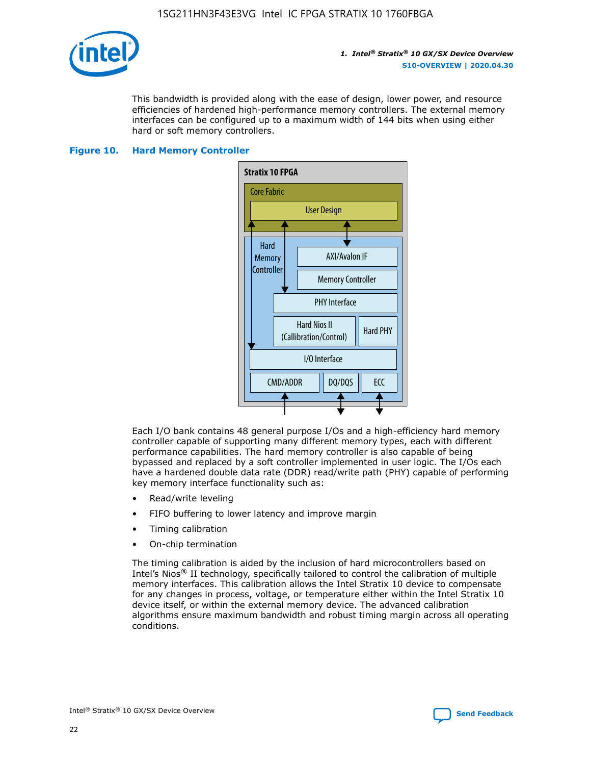

This bandwidth is provided along with the ease of design, lower power, and resource efficiencies of hardened high-performance memory controllers. The external memory interfaces can be configured up to a maximum width of 144 bits when using either hard or soft memory controllers.

#### **Figure 10. Hard Memory Controller**



Each I/O bank contains 48 general purpose I/Os and a high-efficiency hard memory controller capable of supporting many different memory types, each with different performance capabilities. The hard memory controller is also capable of being bypassed and replaced by a soft controller implemented in user logic. The I/Os each have a hardened double data rate (DDR) read/write path (PHY) capable of performing key memory interface functionality such as:

- Read/write leveling
- FIFO buffering to lower latency and improve margin
- Timing calibration
- On-chip termination

The timing calibration is aided by the inclusion of hard microcontrollers based on Intel's Nios® II technology, specifically tailored to control the calibration of multiple memory interfaces. This calibration allows the Intel Stratix 10 device to compensate for any changes in process, voltage, or temperature either within the Intel Stratix 10 device itself, or within the external memory device. The advanced calibration algorithms ensure maximum bandwidth and robust timing margin across all operating conditions.

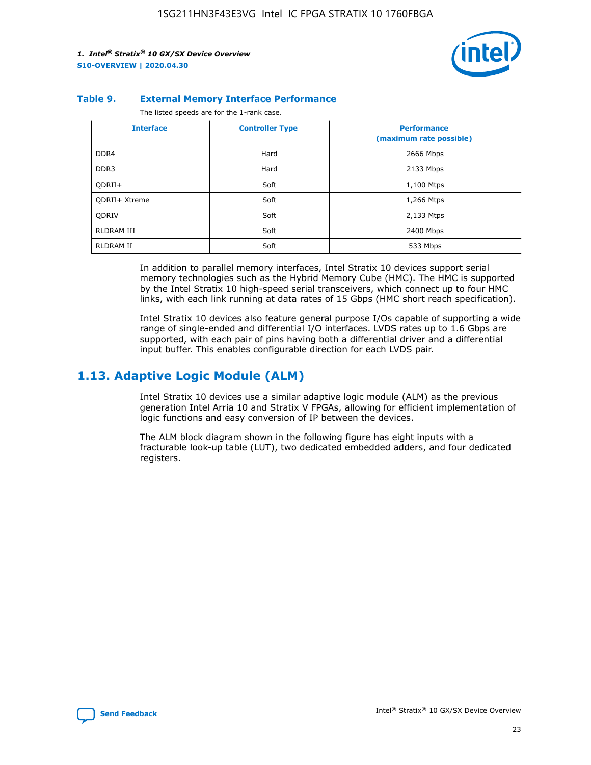

#### **Table 9. External Memory Interface Performance**

The listed speeds are for the 1-rank case.

| <b>Interface</b>     | <b>Controller Type</b> | <b>Performance</b><br>(maximum rate possible) |
|----------------------|------------------------|-----------------------------------------------|
| DDR4                 | Hard                   | 2666 Mbps                                     |
| DDR <sub>3</sub>     | Hard                   | 2133 Mbps                                     |
| QDRII+               | Soft                   | 1,100 Mtps                                    |
| <b>ODRII+ Xtreme</b> | Soft                   | 1,266 Mtps                                    |
| <b>ODRIV</b>         | Soft                   | 2,133 Mtps                                    |
| RLDRAM III           | Soft                   | 2400 Mbps                                     |
| <b>RLDRAM II</b>     | Soft                   | 533 Mbps                                      |

In addition to parallel memory interfaces, Intel Stratix 10 devices support serial memory technologies such as the Hybrid Memory Cube (HMC). The HMC is supported by the Intel Stratix 10 high-speed serial transceivers, which connect up to four HMC links, with each link running at data rates of 15 Gbps (HMC short reach specification).

Intel Stratix 10 devices also feature general purpose I/Os capable of supporting a wide range of single-ended and differential I/O interfaces. LVDS rates up to 1.6 Gbps are supported, with each pair of pins having both a differential driver and a differential input buffer. This enables configurable direction for each LVDS pair.

## **1.13. Adaptive Logic Module (ALM)**

Intel Stratix 10 devices use a similar adaptive logic module (ALM) as the previous generation Intel Arria 10 and Stratix V FPGAs, allowing for efficient implementation of logic functions and easy conversion of IP between the devices.

The ALM block diagram shown in the following figure has eight inputs with a fracturable look-up table (LUT), two dedicated embedded adders, and four dedicated registers.

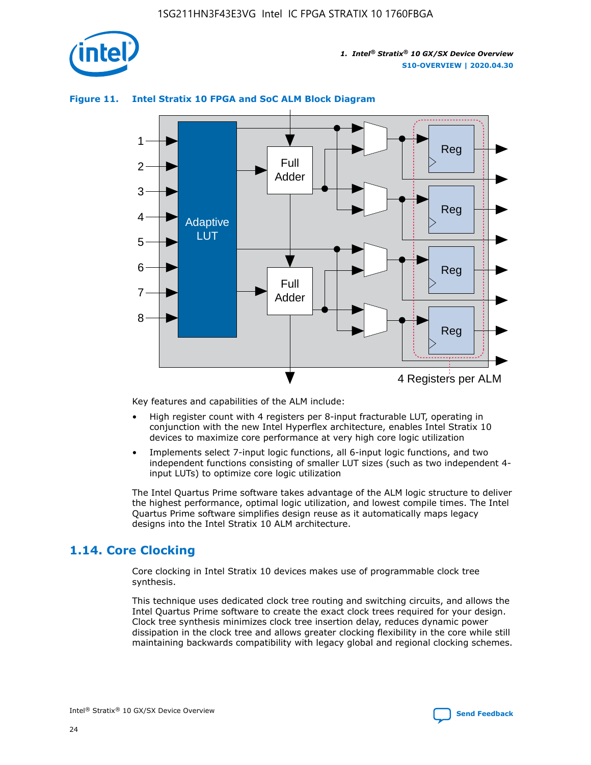

## **Figure 11. Intel Stratix 10 FPGA and SoC ALM Block Diagram**



Key features and capabilities of the ALM include:

- High register count with 4 registers per 8-input fracturable LUT, operating in conjunction with the new Intel Hyperflex architecture, enables Intel Stratix 10 devices to maximize core performance at very high core logic utilization
- Implements select 7-input logic functions, all 6-input logic functions, and two independent functions consisting of smaller LUT sizes (such as two independent 4 input LUTs) to optimize core logic utilization

The Intel Quartus Prime software takes advantage of the ALM logic structure to deliver the highest performance, optimal logic utilization, and lowest compile times. The Intel Quartus Prime software simplifies design reuse as it automatically maps legacy designs into the Intel Stratix 10 ALM architecture.

## **1.14. Core Clocking**

Core clocking in Intel Stratix 10 devices makes use of programmable clock tree synthesis.

This technique uses dedicated clock tree routing and switching circuits, and allows the Intel Quartus Prime software to create the exact clock trees required for your design. Clock tree synthesis minimizes clock tree insertion delay, reduces dynamic power dissipation in the clock tree and allows greater clocking flexibility in the core while still maintaining backwards compatibility with legacy global and regional clocking schemes.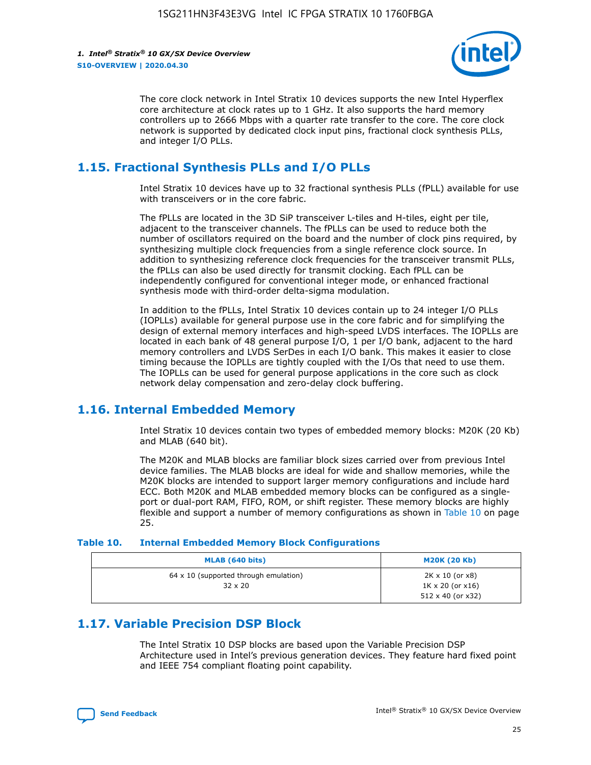

The core clock network in Intel Stratix 10 devices supports the new Intel Hyperflex core architecture at clock rates up to 1 GHz. It also supports the hard memory controllers up to 2666 Mbps with a quarter rate transfer to the core. The core clock network is supported by dedicated clock input pins, fractional clock synthesis PLLs, and integer I/O PLLs.

## **1.15. Fractional Synthesis PLLs and I/O PLLs**

Intel Stratix 10 devices have up to 32 fractional synthesis PLLs (fPLL) available for use with transceivers or in the core fabric.

The fPLLs are located in the 3D SiP transceiver L-tiles and H-tiles, eight per tile, adjacent to the transceiver channels. The fPLLs can be used to reduce both the number of oscillators required on the board and the number of clock pins required, by synthesizing multiple clock frequencies from a single reference clock source. In addition to synthesizing reference clock frequencies for the transceiver transmit PLLs, the fPLLs can also be used directly for transmit clocking. Each fPLL can be independently configured for conventional integer mode, or enhanced fractional synthesis mode with third-order delta-sigma modulation.

In addition to the fPLLs, Intel Stratix 10 devices contain up to 24 integer I/O PLLs (IOPLLs) available for general purpose use in the core fabric and for simplifying the design of external memory interfaces and high-speed LVDS interfaces. The IOPLLs are located in each bank of 48 general purpose I/O, 1 per I/O bank, adjacent to the hard memory controllers and LVDS SerDes in each I/O bank. This makes it easier to close timing because the IOPLLs are tightly coupled with the I/Os that need to use them. The IOPLLs can be used for general purpose applications in the core such as clock network delay compensation and zero-delay clock buffering.

## **1.16. Internal Embedded Memory**

Intel Stratix 10 devices contain two types of embedded memory blocks: M20K (20 Kb) and MLAB (640 bit).

The M20K and MLAB blocks are familiar block sizes carried over from previous Intel device families. The MLAB blocks are ideal for wide and shallow memories, while the M20K blocks are intended to support larger memory configurations and include hard ECC. Both M20K and MLAB embedded memory blocks can be configured as a singleport or dual-port RAM, FIFO, ROM, or shift register. These memory blocks are highly flexible and support a number of memory configurations as shown in Table 10 on page 25.

#### **Table 10. Internal Embedded Memory Block Configurations**

| MLAB (640 bits)                                                | <b>M20K (20 Kb)</b>                                                                    |
|----------------------------------------------------------------|----------------------------------------------------------------------------------------|
| $64 \times 10$ (supported through emulation)<br>$32 \times 20$ | $2K \times 10$ (or $x8$ )<br>$1K \times 20$ (or $x16$ )<br>$512 \times 40$ (or $x32$ ) |

## **1.17. Variable Precision DSP Block**

The Intel Stratix 10 DSP blocks are based upon the Variable Precision DSP Architecture used in Intel's previous generation devices. They feature hard fixed point and IEEE 754 compliant floating point capability.

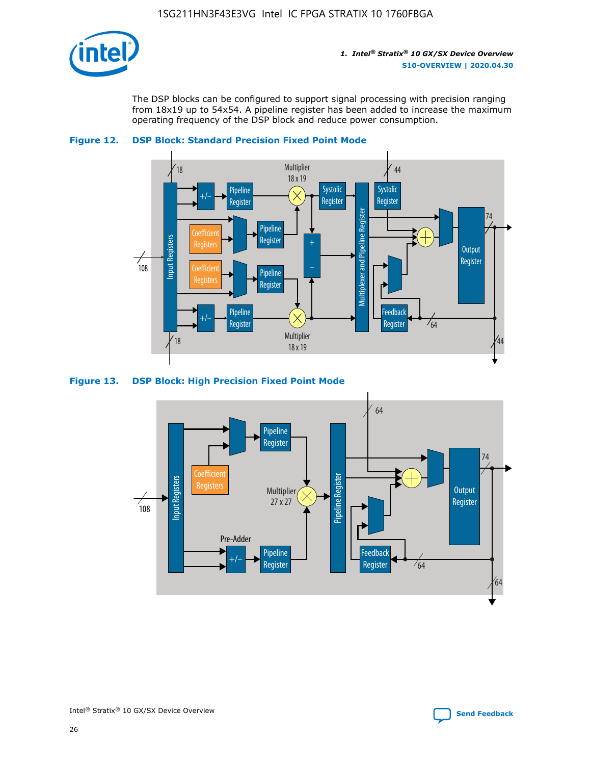

The DSP blocks can be configured to support signal processing with precision ranging from 18x19 up to 54x54. A pipeline register has been added to increase the maximum operating frequency of the DSP block and reduce power consumption.





#### **Figure 13. DSP Block: High Precision Fixed Point Mode**

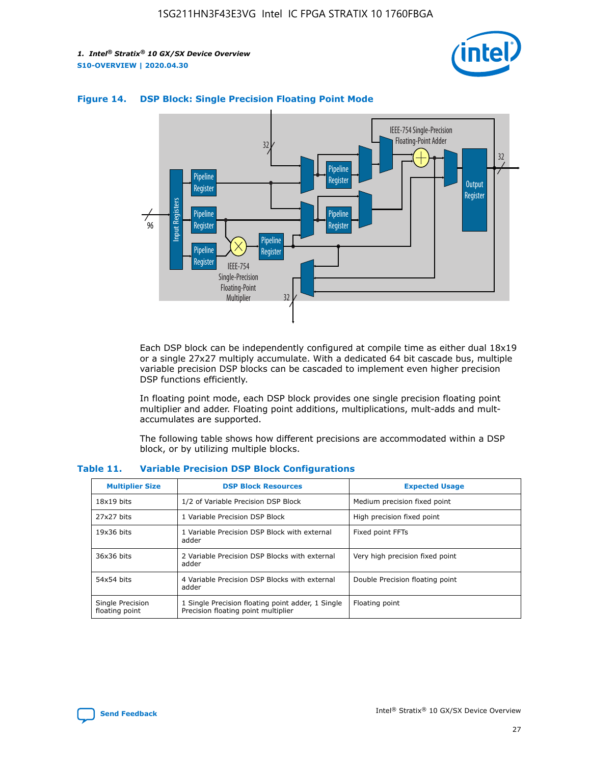



## **Figure 14. DSP Block: Single Precision Floating Point Mode**

Each DSP block can be independently configured at compile time as either dual 18x19 or a single 27x27 multiply accumulate. With a dedicated 64 bit cascade bus, multiple variable precision DSP blocks can be cascaded to implement even higher precision DSP functions efficiently.

In floating point mode, each DSP block provides one single precision floating point multiplier and adder. Floating point additions, multiplications, mult-adds and multaccumulates are supported.

The following table shows how different precisions are accommodated within a DSP block, or by utilizing multiple blocks.

| <b>Multiplier Size</b>             | <b>DSP Block Resources</b>                                                               | <b>Expected Usage</b>           |
|------------------------------------|------------------------------------------------------------------------------------------|---------------------------------|
| $18x19$ bits                       | 1/2 of Variable Precision DSP Block                                                      | Medium precision fixed point    |
| 27x27 bits                         | 1 Variable Precision DSP Block                                                           | High precision fixed point      |
| $19x36$ bits                       | 1 Variable Precision DSP Block with external<br>adder                                    | Fixed point FFTs                |
| 36x36 bits                         | 2 Variable Precision DSP Blocks with external<br>adder                                   | Very high precision fixed point |
| 54x54 bits                         | 4 Variable Precision DSP Blocks with external<br>adder                                   | Double Precision floating point |
| Single Precision<br>floating point | 1 Single Precision floating point adder, 1 Single<br>Precision floating point multiplier | Floating point                  |

#### **Table 11. Variable Precision DSP Block Configurations**

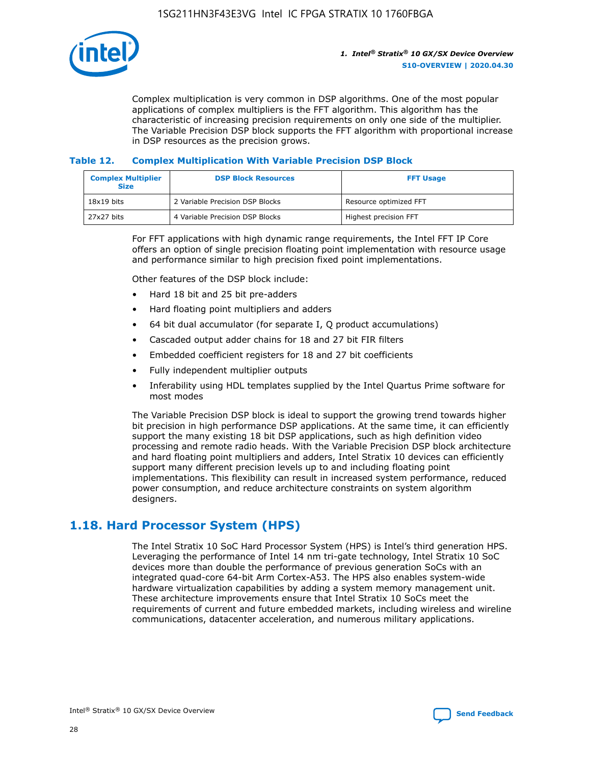

Complex multiplication is very common in DSP algorithms. One of the most popular applications of complex multipliers is the FFT algorithm. This algorithm has the characteristic of increasing precision requirements on only one side of the multiplier. The Variable Precision DSP block supports the FFT algorithm with proportional increase in DSP resources as the precision grows.

### **Table 12. Complex Multiplication With Variable Precision DSP Block**

| <b>Complex Multiplier</b><br><b>Size</b> | <b>DSP Block Resources</b>      | <b>FFT Usage</b>       |
|------------------------------------------|---------------------------------|------------------------|
| $18x19$ bits                             | 2 Variable Precision DSP Blocks | Resource optimized FFT |
| 27x27 bits                               | 4 Variable Precision DSP Blocks | Highest precision FFT  |

For FFT applications with high dynamic range requirements, the Intel FFT IP Core offers an option of single precision floating point implementation with resource usage and performance similar to high precision fixed point implementations.

Other features of the DSP block include:

- Hard 18 bit and 25 bit pre-adders
- Hard floating point multipliers and adders
- 64 bit dual accumulator (for separate I, Q product accumulations)
- Cascaded output adder chains for 18 and 27 bit FIR filters
- Embedded coefficient registers for 18 and 27 bit coefficients
- Fully independent multiplier outputs
- Inferability using HDL templates supplied by the Intel Quartus Prime software for most modes

The Variable Precision DSP block is ideal to support the growing trend towards higher bit precision in high performance DSP applications. At the same time, it can efficiently support the many existing 18 bit DSP applications, such as high definition video processing and remote radio heads. With the Variable Precision DSP block architecture and hard floating point multipliers and adders, Intel Stratix 10 devices can efficiently support many different precision levels up to and including floating point implementations. This flexibility can result in increased system performance, reduced power consumption, and reduce architecture constraints on system algorithm designers.

## **1.18. Hard Processor System (HPS)**

The Intel Stratix 10 SoC Hard Processor System (HPS) is Intel's third generation HPS. Leveraging the performance of Intel 14 nm tri-gate technology, Intel Stratix 10 SoC devices more than double the performance of previous generation SoCs with an integrated quad-core 64-bit Arm Cortex-A53. The HPS also enables system-wide hardware virtualization capabilities by adding a system memory management unit. These architecture improvements ensure that Intel Stratix 10 SoCs meet the requirements of current and future embedded markets, including wireless and wireline communications, datacenter acceleration, and numerous military applications.

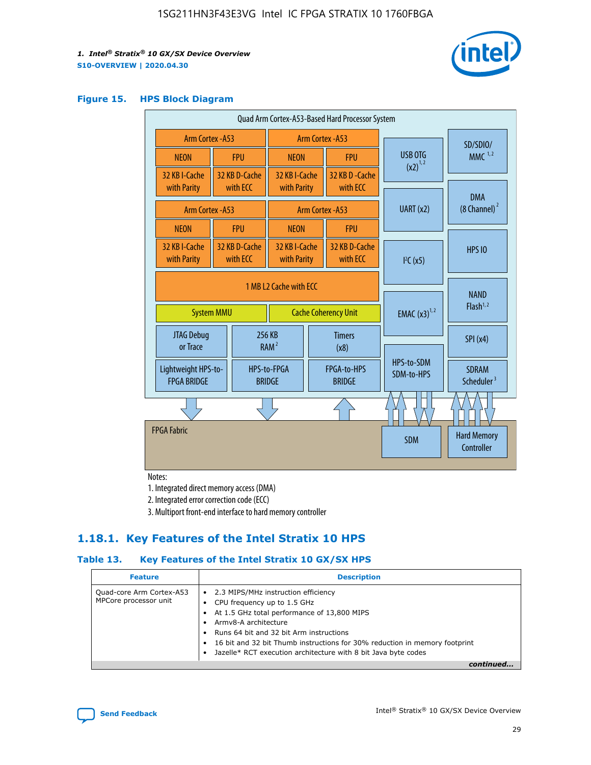

### **Figure 15. HPS Block Diagram**

| Quad Arm Cortex-A53-Based Hard Processor System |  |                                                       |                                                           |  |                              |                          |                                     |                                        |
|-------------------------------------------------|--|-------------------------------------------------------|-----------------------------------------------------------|--|------------------------------|--------------------------|-------------------------------------|----------------------------------------|
| Arm Cortex - A53                                |  |                                                       | Arm Cortex - A53                                          |  |                              |                          | SD/SDIO/                            |                                        |
| <b>NEON</b>                                     |  | <b>FPU</b>                                            | <b>NEON</b>                                               |  | <b>FPU</b>                   | USB OTG                  |                                     | $MMC$ <sup>1,2</sup>                   |
| 32 KB I-Cache<br>with Parity                    |  | 32 KB D-Cache<br>with ECC                             | 32 KB I-Cache<br>with Parity                              |  | 32 KB D - Cache<br>with ECC  | $(x2)^{1,2}$             |                                     |                                        |
| Arm Cortex - A53                                |  |                                                       |                                                           |  | Arm Cortex - A53             | UART (x2)                |                                     | <b>DMA</b><br>(8 Channel) <sup>2</sup> |
| <b>NEON</b>                                     |  | <b>FPU</b>                                            | <b>NEON</b>                                               |  | <b>FPU</b>                   |                          |                                     |                                        |
| 32 KB I-Cache<br>with Parity                    |  | 32 KB D-Cache<br>with ECC                             | 32 KB I-Cache<br>32 KB D-Cache<br>with ECC<br>with Parity |  | I <sup>2</sup> C(x5)         |                          | <b>HPS 10</b>                       |                                        |
| <b>System MMU</b>                               |  | 1 MB L2 Cache with ECC<br><b>Cache Coherency Unit</b> |                                                           |  | <b>EMAC</b> $(x3)^{1,2}$     |                          | <b>NAND</b><br>Flash <sup>1,2</sup> |                                        |
| <b>JTAG Debug</b><br>or Trace                   |  |                                                       | 256 KB<br><b>Timers</b><br>RAM <sup>2</sup><br>(x8)       |  |                              |                          | SPI(x4)                             |                                        |
| Lightweight HPS-to-<br><b>FPGA BRIDGE</b>       |  |                                                       | HPS-to-FPGA<br><b>BRIDGE</b>                              |  | FPGA-to-HPS<br><b>BRIDGE</b> | HPS-to-SDM<br>SDM-to-HPS |                                     | <b>SDRAM</b><br>Scheduler <sup>3</sup> |
|                                                 |  |                                                       |                                                           |  |                              |                          |                                     |                                        |
| <b>FPGA Fabric</b>                              |  |                                                       |                                                           |  |                              | <b>SDM</b>               |                                     | <b>Hard Memory</b><br>Controller       |

Notes:

1. Integrated direct memory access (DMA)

2. Integrated error correction code (ECC)

3. Multiport front-end interface to hard memory controller

## **1.18.1. Key Features of the Intel Stratix 10 HPS**

## **Table 13. Key Features of the Intel Stratix 10 GX/SX HPS**

| <b>Feature</b>                                    | <b>Description</b>                                                                                                                                                                                                                                                                                                                                     |
|---------------------------------------------------|--------------------------------------------------------------------------------------------------------------------------------------------------------------------------------------------------------------------------------------------------------------------------------------------------------------------------------------------------------|
| Quad-core Arm Cortex-A53<br>MPCore processor unit | 2.3 MIPS/MHz instruction efficiency<br>$\bullet$<br>CPU frequency up to 1.5 GHz<br>٠<br>At 1.5 GHz total performance of 13,800 MIPS<br>Army8-A architecture<br>Runs 64 bit and 32 bit Arm instructions<br>16 bit and 32 bit Thumb instructions for 30% reduction in memory footprint<br>Jazelle* RCT execution architecture with 8 bit Java byte codes |
|                                                   |                                                                                                                                                                                                                                                                                                                                                        |

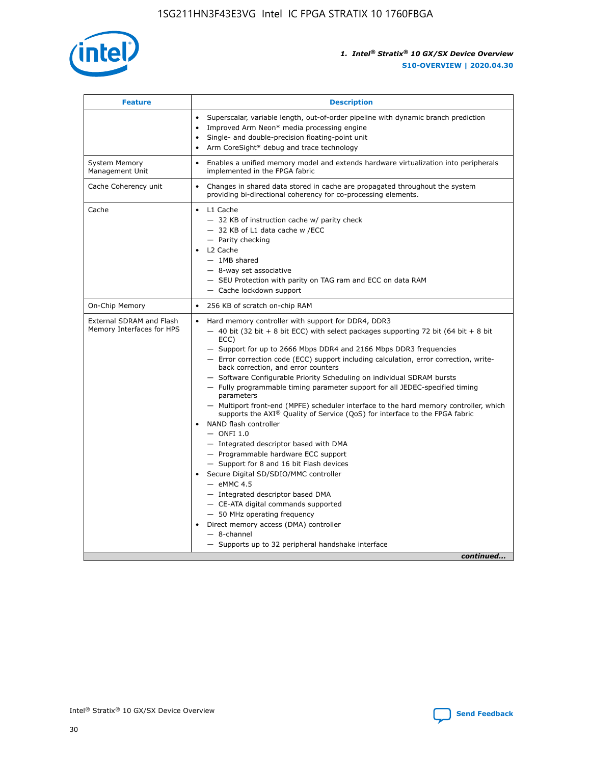

| <b>Feature</b>                                        | <b>Description</b>                                                                                                                                                                                                                                                                                                                                                                                                                                                                                                                                                                                                                                                                                                                                                                                                                                                                                                                                                                                                                                                                                                                                                                                               |
|-------------------------------------------------------|------------------------------------------------------------------------------------------------------------------------------------------------------------------------------------------------------------------------------------------------------------------------------------------------------------------------------------------------------------------------------------------------------------------------------------------------------------------------------------------------------------------------------------------------------------------------------------------------------------------------------------------------------------------------------------------------------------------------------------------------------------------------------------------------------------------------------------------------------------------------------------------------------------------------------------------------------------------------------------------------------------------------------------------------------------------------------------------------------------------------------------------------------------------------------------------------------------------|
|                                                       | Superscalar, variable length, out-of-order pipeline with dynamic branch prediction<br>Improved Arm Neon* media processing engine<br>$\bullet$<br>Single- and double-precision floating-point unit<br>Arm CoreSight* debug and trace technology                                                                                                                                                                                                                                                                                                                                                                                                                                                                                                                                                                                                                                                                                                                                                                                                                                                                                                                                                                   |
| <b>System Memory</b><br>Management Unit               | Enables a unified memory model and extends hardware virtualization into peripherals<br>implemented in the FPGA fabric                                                                                                                                                                                                                                                                                                                                                                                                                                                                                                                                                                                                                                                                                                                                                                                                                                                                                                                                                                                                                                                                                            |
| Cache Coherency unit                                  | Changes in shared data stored in cache are propagated throughout the system<br>$\bullet$<br>providing bi-directional coherency for co-processing elements.                                                                                                                                                                                                                                                                                                                                                                                                                                                                                                                                                                                                                                                                                                                                                                                                                                                                                                                                                                                                                                                       |
| Cache                                                 | • L1 Cache<br>- 32 KB of instruction cache w/ parity check<br>- 32 KB of L1 data cache w /ECC<br>- Parity checking<br>L2 Cache<br>$-$ 1MB shared<br>- 8-way set associative<br>- SEU Protection with parity on TAG ram and ECC on data RAM<br>- Cache lockdown support                                                                                                                                                                                                                                                                                                                                                                                                                                                                                                                                                                                                                                                                                                                                                                                                                                                                                                                                           |
| On-Chip Memory                                        | 256 KB of scratch on-chip RAM                                                                                                                                                                                                                                                                                                                                                                                                                                                                                                                                                                                                                                                                                                                                                                                                                                                                                                                                                                                                                                                                                                                                                                                    |
| External SDRAM and Flash<br>Memory Interfaces for HPS | Hard memory controller with support for DDR4, DDR3<br>$\bullet$<br>$-$ 40 bit (32 bit + 8 bit ECC) with select packages supporting 72 bit (64 bit + 8 bit<br>ECC)<br>- Support for up to 2666 Mbps DDR4 and 2166 Mbps DDR3 frequencies<br>- Error correction code (ECC) support including calculation, error correction, write-<br>back correction, and error counters<br>- Software Configurable Priority Scheduling on individual SDRAM bursts<br>- Fully programmable timing parameter support for all JEDEC-specified timing<br>parameters<br>- Multiport front-end (MPFE) scheduler interface to the hard memory controller, which<br>supports the $AXI^{\circledR}$ Quality of Service (QoS) for interface to the FPGA fabric<br>NAND flash controller<br>$-$ ONFI 1.0<br>- Integrated descriptor based with DMA<br>- Programmable hardware ECC support<br>- Support for 8 and 16 bit Flash devices<br>Secure Digital SD/SDIO/MMC controller<br>$-$ eMMC 4.5<br>- Integrated descriptor based DMA<br>- CE-ATA digital commands supported<br>- 50 MHz operating frequency<br>Direct memory access (DMA) controller<br>٠<br>$-$ 8-channel<br>- Supports up to 32 peripheral handshake interface<br>continued |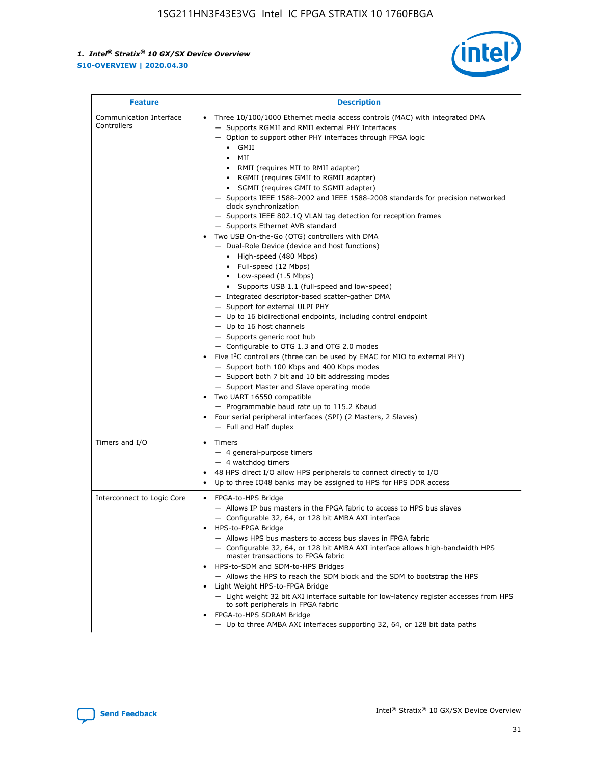

| <b>Feature</b>                         | <b>Description</b>                                                                                                                                                                                                                                                                                                                                                                                                                                                                                                                                                                                                                                                                                                                                                                                                                                                                                                                                                                                                                                                                                                                                                                                                                                                                                                                                                                                                                                                                                                   |
|----------------------------------------|----------------------------------------------------------------------------------------------------------------------------------------------------------------------------------------------------------------------------------------------------------------------------------------------------------------------------------------------------------------------------------------------------------------------------------------------------------------------------------------------------------------------------------------------------------------------------------------------------------------------------------------------------------------------------------------------------------------------------------------------------------------------------------------------------------------------------------------------------------------------------------------------------------------------------------------------------------------------------------------------------------------------------------------------------------------------------------------------------------------------------------------------------------------------------------------------------------------------------------------------------------------------------------------------------------------------------------------------------------------------------------------------------------------------------------------------------------------------------------------------------------------------|
| Communication Interface<br>Controllers | Three 10/100/1000 Ethernet media access controls (MAC) with integrated DMA<br>- Supports RGMII and RMII external PHY Interfaces<br>- Option to support other PHY interfaces through FPGA logic<br>$\bullet$ GMII<br>MII<br>$\bullet$<br>RMII (requires MII to RMII adapter)<br>$\bullet$<br>• RGMII (requires GMII to RGMII adapter)<br>SGMII (requires GMII to SGMII adapter)<br>- Supports IEEE 1588-2002 and IEEE 1588-2008 standards for precision networked<br>clock synchronization<br>- Supports IEEE 802.1Q VLAN tag detection for reception frames<br>- Supports Ethernet AVB standard<br>Two USB On-the-Go (OTG) controllers with DMA<br>- Dual-Role Device (device and host functions)<br>• High-speed (480 Mbps)<br>• Full-speed (12 Mbps)<br>• Low-speed (1.5 Mbps)<br>• Supports USB 1.1 (full-speed and low-speed)<br>- Integrated descriptor-based scatter-gather DMA<br>- Support for external ULPI PHY<br>- Up to 16 bidirectional endpoints, including control endpoint<br>$-$ Up to 16 host channels<br>- Supports generic root hub<br>- Configurable to OTG 1.3 and OTG 2.0 modes<br>Five I <sup>2</sup> C controllers (three can be used by EMAC for MIO to external PHY)<br>- Support both 100 Kbps and 400 Kbps modes<br>- Support both 7 bit and 10 bit addressing modes<br>- Support Master and Slave operating mode<br>Two UART 16550 compatible<br>- Programmable baud rate up to 115.2 Kbaud<br>Four serial peripheral interfaces (SPI) (2 Masters, 2 Slaves)<br>- Full and Half duplex |
| Timers and I/O                         | Timers<br>$\bullet$<br>- 4 general-purpose timers<br>$-4$ watchdog timers<br>48 HPS direct I/O allow HPS peripherals to connect directly to I/O<br>Up to three IO48 banks may be assigned to HPS for HPS DDR access                                                                                                                                                                                                                                                                                                                                                                                                                                                                                                                                                                                                                                                                                                                                                                                                                                                                                                                                                                                                                                                                                                                                                                                                                                                                                                  |
| Interconnect to Logic Core             | • FPGA-to-HPS Bridge<br>- Allows IP bus masters in the FPGA fabric to access to HPS bus slaves<br>- Configurable 32, 64, or 128 bit AMBA AXI interface<br>HPS-to-FPGA Bridge<br>- Allows HPS bus masters to access bus slaves in FPGA fabric<br>- Configurable 32, 64, or 128 bit AMBA AXI interface allows high-bandwidth HPS<br>master transactions to FPGA fabric<br>HPS-to-SDM and SDM-to-HPS Bridges<br>- Allows the HPS to reach the SDM block and the SDM to bootstrap the HPS<br>Light Weight HPS-to-FPGA Bridge<br>- Light weight 32 bit AXI interface suitable for low-latency register accesses from HPS<br>to soft peripherals in FPGA fabric<br>FPGA-to-HPS SDRAM Bridge<br>- Up to three AMBA AXI interfaces supporting 32, 64, or 128 bit data paths                                                                                                                                                                                                                                                                                                                                                                                                                                                                                                                                                                                                                                                                                                                                                  |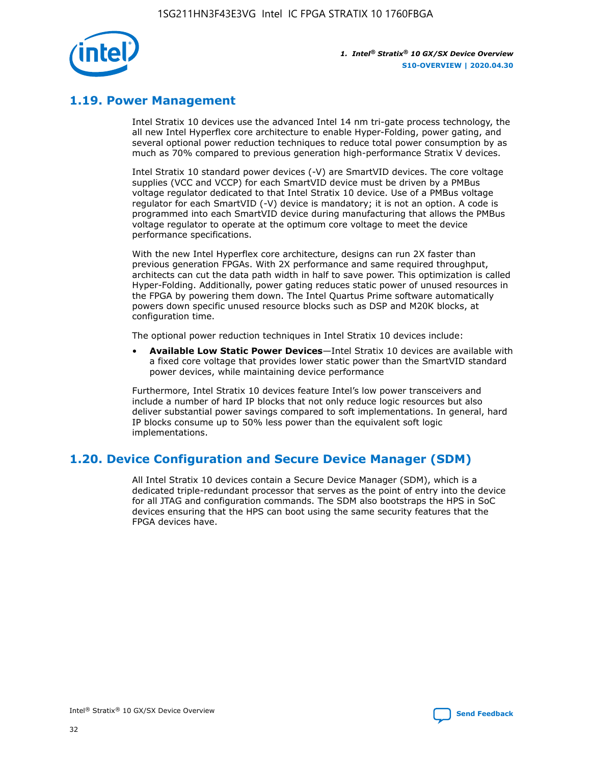

## **1.19. Power Management**

Intel Stratix 10 devices use the advanced Intel 14 nm tri-gate process technology, the all new Intel Hyperflex core architecture to enable Hyper-Folding, power gating, and several optional power reduction techniques to reduce total power consumption by as much as 70% compared to previous generation high-performance Stratix V devices.

Intel Stratix 10 standard power devices (-V) are SmartVID devices. The core voltage supplies (VCC and VCCP) for each SmartVID device must be driven by a PMBus voltage regulator dedicated to that Intel Stratix 10 device. Use of a PMBus voltage regulator for each SmartVID (-V) device is mandatory; it is not an option. A code is programmed into each SmartVID device during manufacturing that allows the PMBus voltage regulator to operate at the optimum core voltage to meet the device performance specifications.

With the new Intel Hyperflex core architecture, designs can run 2X faster than previous generation FPGAs. With 2X performance and same required throughput, architects can cut the data path width in half to save power. This optimization is called Hyper-Folding. Additionally, power gating reduces static power of unused resources in the FPGA by powering them down. The Intel Quartus Prime software automatically powers down specific unused resource blocks such as DSP and M20K blocks, at configuration time.

The optional power reduction techniques in Intel Stratix 10 devices include:

• **Available Low Static Power Devices**—Intel Stratix 10 devices are available with a fixed core voltage that provides lower static power than the SmartVID standard power devices, while maintaining device performance

Furthermore, Intel Stratix 10 devices feature Intel's low power transceivers and include a number of hard IP blocks that not only reduce logic resources but also deliver substantial power savings compared to soft implementations. In general, hard IP blocks consume up to 50% less power than the equivalent soft logic implementations.

## **1.20. Device Configuration and Secure Device Manager (SDM)**

All Intel Stratix 10 devices contain a Secure Device Manager (SDM), which is a dedicated triple-redundant processor that serves as the point of entry into the device for all JTAG and configuration commands. The SDM also bootstraps the HPS in SoC devices ensuring that the HPS can boot using the same security features that the FPGA devices have.

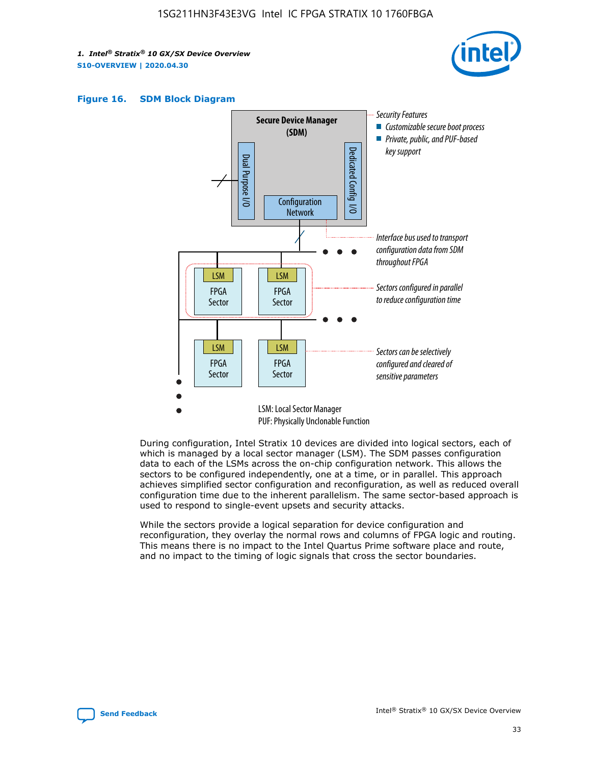





During configuration, Intel Stratix 10 devices are divided into logical sectors, each of which is managed by a local sector manager (LSM). The SDM passes configuration data to each of the LSMs across the on-chip configuration network. This allows the sectors to be configured independently, one at a time, or in parallel. This approach achieves simplified sector configuration and reconfiguration, as well as reduced overall configuration time due to the inherent parallelism. The same sector-based approach is used to respond to single-event upsets and security attacks.

While the sectors provide a logical separation for device configuration and reconfiguration, they overlay the normal rows and columns of FPGA logic and routing. This means there is no impact to the Intel Quartus Prime software place and route, and no impact to the timing of logic signals that cross the sector boundaries.

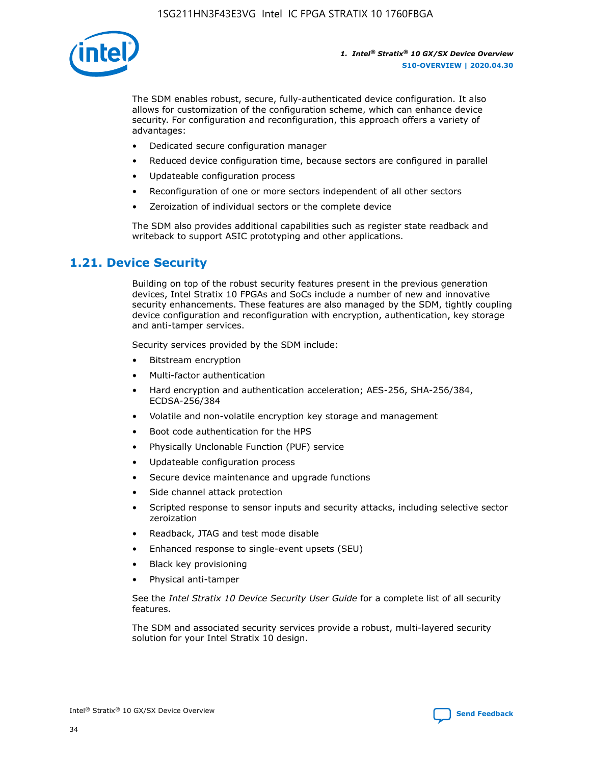

The SDM enables robust, secure, fully-authenticated device configuration. It also allows for customization of the configuration scheme, which can enhance device security. For configuration and reconfiguration, this approach offers a variety of advantages:

- Dedicated secure configuration manager
- Reduced device configuration time, because sectors are configured in parallel
- Updateable configuration process
- Reconfiguration of one or more sectors independent of all other sectors
- Zeroization of individual sectors or the complete device

The SDM also provides additional capabilities such as register state readback and writeback to support ASIC prototyping and other applications.

## **1.21. Device Security**

Building on top of the robust security features present in the previous generation devices, Intel Stratix 10 FPGAs and SoCs include a number of new and innovative security enhancements. These features are also managed by the SDM, tightly coupling device configuration and reconfiguration with encryption, authentication, key storage and anti-tamper services.

Security services provided by the SDM include:

- Bitstream encryption
- Multi-factor authentication
- Hard encryption and authentication acceleration; AES-256, SHA-256/384, ECDSA-256/384
- Volatile and non-volatile encryption key storage and management
- Boot code authentication for the HPS
- Physically Unclonable Function (PUF) service
- Updateable configuration process
- Secure device maintenance and upgrade functions
- Side channel attack protection
- Scripted response to sensor inputs and security attacks, including selective sector zeroization
- Readback, JTAG and test mode disable
- Enhanced response to single-event upsets (SEU)
- Black key provisioning
- Physical anti-tamper

See the *Intel Stratix 10 Device Security User Guide* for a complete list of all security features.

The SDM and associated security services provide a robust, multi-layered security solution for your Intel Stratix 10 design.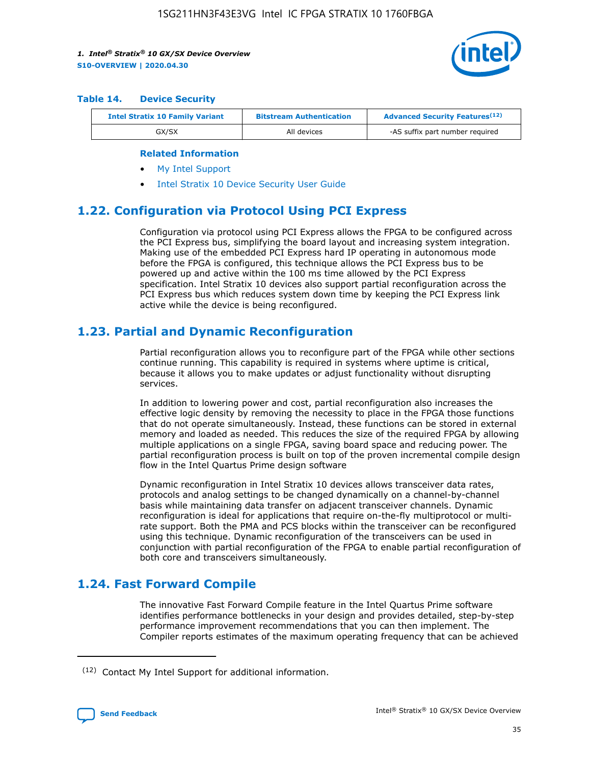

#### **Table 14. Device Security**

| <b>Intel Stratix 10 Family Variant</b> | <b>Bitstream Authentication</b> | <b>Advanced Security Features</b> <sup>(12)</sup> |
|----------------------------------------|---------------------------------|---------------------------------------------------|
| GX/SX                                  | All devices                     | -AS suffix part number required                   |

#### **Related Information**

- [My Intel Support](https://www.intel.com/content/www/us/en/programmable/my-intel/mal-home.html)
- [Intel Stratix 10 Device Security User Guide](https://www.intel.com/content/www/us/en/programmable/documentation/ndq1483601370898.html#wcd1483611014402)

## **1.22. Configuration via Protocol Using PCI Express**

Configuration via protocol using PCI Express allows the FPGA to be configured across the PCI Express bus, simplifying the board layout and increasing system integration. Making use of the embedded PCI Express hard IP operating in autonomous mode before the FPGA is configured, this technique allows the PCI Express bus to be powered up and active within the 100 ms time allowed by the PCI Express specification. Intel Stratix 10 devices also support partial reconfiguration across the PCI Express bus which reduces system down time by keeping the PCI Express link active while the device is being reconfigured.

## **1.23. Partial and Dynamic Reconfiguration**

Partial reconfiguration allows you to reconfigure part of the FPGA while other sections continue running. This capability is required in systems where uptime is critical, because it allows you to make updates or adjust functionality without disrupting services.

In addition to lowering power and cost, partial reconfiguration also increases the effective logic density by removing the necessity to place in the FPGA those functions that do not operate simultaneously. Instead, these functions can be stored in external memory and loaded as needed. This reduces the size of the required FPGA by allowing multiple applications on a single FPGA, saving board space and reducing power. The partial reconfiguration process is built on top of the proven incremental compile design flow in the Intel Quartus Prime design software

Dynamic reconfiguration in Intel Stratix 10 devices allows transceiver data rates, protocols and analog settings to be changed dynamically on a channel-by-channel basis while maintaining data transfer on adjacent transceiver channels. Dynamic reconfiguration is ideal for applications that require on-the-fly multiprotocol or multirate support. Both the PMA and PCS blocks within the transceiver can be reconfigured using this technique. Dynamic reconfiguration of the transceivers can be used in conjunction with partial reconfiguration of the FPGA to enable partial reconfiguration of both core and transceivers simultaneously.

## **1.24. Fast Forward Compile**

The innovative Fast Forward Compile feature in the Intel Quartus Prime software identifies performance bottlenecks in your design and provides detailed, step-by-step performance improvement recommendations that you can then implement. The Compiler reports estimates of the maximum operating frequency that can be achieved

<sup>(12)</sup> Contact My Intel Support for additional information.

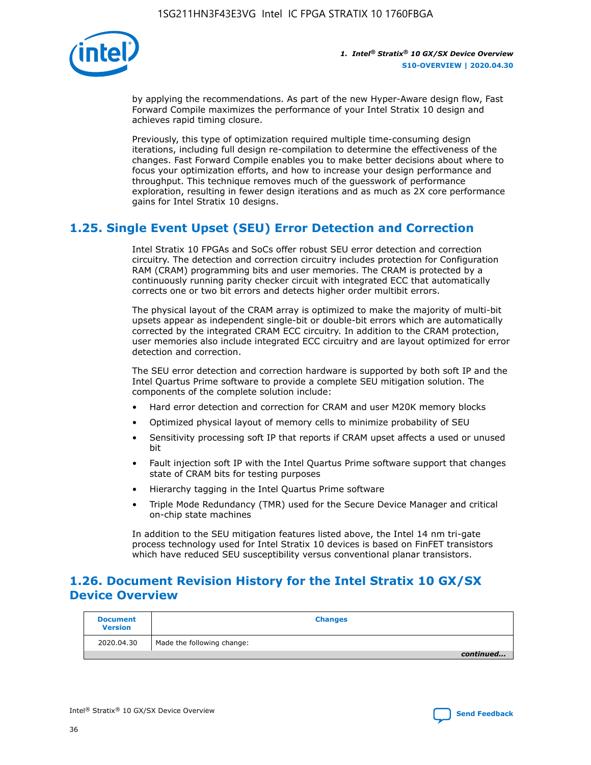

by applying the recommendations. As part of the new Hyper-Aware design flow, Fast Forward Compile maximizes the performance of your Intel Stratix 10 design and achieves rapid timing closure.

Previously, this type of optimization required multiple time-consuming design iterations, including full design re-compilation to determine the effectiveness of the changes. Fast Forward Compile enables you to make better decisions about where to focus your optimization efforts, and how to increase your design performance and throughput. This technique removes much of the guesswork of performance exploration, resulting in fewer design iterations and as much as 2X core performance gains for Intel Stratix 10 designs.

## **1.25. Single Event Upset (SEU) Error Detection and Correction**

Intel Stratix 10 FPGAs and SoCs offer robust SEU error detection and correction circuitry. The detection and correction circuitry includes protection for Configuration RAM (CRAM) programming bits and user memories. The CRAM is protected by a continuously running parity checker circuit with integrated ECC that automatically corrects one or two bit errors and detects higher order multibit errors.

The physical layout of the CRAM array is optimized to make the majority of multi-bit upsets appear as independent single-bit or double-bit errors which are automatically corrected by the integrated CRAM ECC circuitry. In addition to the CRAM protection, user memories also include integrated ECC circuitry and are layout optimized for error detection and correction.

The SEU error detection and correction hardware is supported by both soft IP and the Intel Quartus Prime software to provide a complete SEU mitigation solution. The components of the complete solution include:

- Hard error detection and correction for CRAM and user M20K memory blocks
- Optimized physical layout of memory cells to minimize probability of SEU
- Sensitivity processing soft IP that reports if CRAM upset affects a used or unused bit
- Fault injection soft IP with the Intel Quartus Prime software support that changes state of CRAM bits for testing purposes
- Hierarchy tagging in the Intel Quartus Prime software
- Triple Mode Redundancy (TMR) used for the Secure Device Manager and critical on-chip state machines

In addition to the SEU mitigation features listed above, the Intel 14 nm tri-gate process technology used for Intel Stratix 10 devices is based on FinFET transistors which have reduced SEU susceptibility versus conventional planar transistors.

## **1.26. Document Revision History for the Intel Stratix 10 GX/SX Device Overview**

| <b>Document</b><br><b>Version</b> | <b>Changes</b>             |
|-----------------------------------|----------------------------|
| 2020.04.30                        | Made the following change: |
|                                   | continued                  |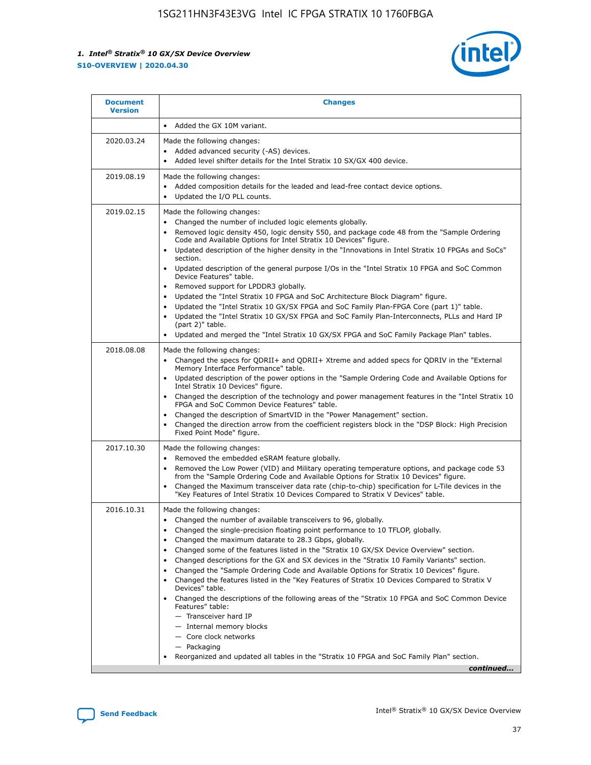

| <b>Document</b><br><b>Version</b> | <b>Changes</b>                                                                                                                                                                                                                                                                                                                                                                                                                                                                                                                                                                                                                                                                                                                                                                                                                                                                                                                                                                                              |
|-----------------------------------|-------------------------------------------------------------------------------------------------------------------------------------------------------------------------------------------------------------------------------------------------------------------------------------------------------------------------------------------------------------------------------------------------------------------------------------------------------------------------------------------------------------------------------------------------------------------------------------------------------------------------------------------------------------------------------------------------------------------------------------------------------------------------------------------------------------------------------------------------------------------------------------------------------------------------------------------------------------------------------------------------------------|
|                                   | Added the GX 10M variant.                                                                                                                                                                                                                                                                                                                                                                                                                                                                                                                                                                                                                                                                                                                                                                                                                                                                                                                                                                                   |
| 2020.03.24                        | Made the following changes:<br>Added advanced security (-AS) devices.<br>Added level shifter details for the Intel Stratix 10 SX/GX 400 device.                                                                                                                                                                                                                                                                                                                                                                                                                                                                                                                                                                                                                                                                                                                                                                                                                                                             |
| 2019.08.19                        | Made the following changes:<br>Added composition details for the leaded and lead-free contact device options.<br>$\bullet$<br>Updated the I/O PLL counts.                                                                                                                                                                                                                                                                                                                                                                                                                                                                                                                                                                                                                                                                                                                                                                                                                                                   |
| 2019.02.15                        | Made the following changes:<br>Changed the number of included logic elements globally.<br>$\bullet$<br>Removed logic density 450, logic density 550, and package code 48 from the "Sample Ordering<br>$\bullet$<br>Code and Available Options for Intel Stratix 10 Devices" figure.<br>Updated description of the higher density in the "Innovations in Intel Stratix 10 FPGAs and SoCs"<br>section.<br>Updated description of the general purpose I/Os in the "Intel Stratix 10 FPGA and SoC Common<br>$\bullet$<br>Device Features" table.<br>Removed support for LPDDR3 globally.<br>Updated the "Intel Stratix 10 FPGA and SoC Architecture Block Diagram" figure.<br>$\bullet$<br>Updated the "Intel Stratix 10 GX/SX FPGA and SoC Family Plan-FPGA Core (part 1)" table.<br>$\bullet$<br>Updated the "Intel Stratix 10 GX/SX FPGA and SoC Family Plan-Interconnects, PLLs and Hard IP<br>(part 2)" table.<br>Updated and merged the "Intel Stratix 10 GX/SX FPGA and SoC Family Package Plan" tables. |
| 2018.08.08                        | Made the following changes:<br>Changed the specs for QDRII+ and QDRII+ Xtreme and added specs for QDRIV in the "External<br>$\bullet$<br>Memory Interface Performance" table.<br>Updated description of the power options in the "Sample Ordering Code and Available Options for<br>Intel Stratix 10 Devices" figure.<br>Changed the description of the technology and power management features in the "Intel Stratix 10<br>FPGA and SoC Common Device Features" table.<br>Changed the description of SmartVID in the "Power Management" section.<br>Changed the direction arrow from the coefficient registers block in the "DSP Block: High Precision<br>$\bullet$<br>Fixed Point Mode" figure.                                                                                                                                                                                                                                                                                                          |
| 2017.10.30                        | Made the following changes:<br>Removed the embedded eSRAM feature globally.<br>$\bullet$<br>Removed the Low Power (VID) and Military operating temperature options, and package code 53<br>$\bullet$<br>from the "Sample Ordering Code and Available Options for Stratix 10 Devices" figure.<br>Changed the Maximum transceiver data rate (chip-to-chip) specification for L-Tile devices in the<br>"Key Features of Intel Stratix 10 Devices Compared to Stratix V Devices" table.                                                                                                                                                                                                                                                                                                                                                                                                                                                                                                                         |
| 2016.10.31                        | Made the following changes:<br>• Changed the number of available transceivers to 96, globally.<br>Changed the single-precision floating point performance to 10 TFLOP, globally.<br>Changed the maximum datarate to 28.3 Gbps, globally.<br>٠<br>Changed some of the features listed in the "Stratix 10 GX/SX Device Overview" section.<br>$\bullet$<br>Changed descriptions for the GX and SX devices in the "Stratix 10 Family Variants" section.<br>$\bullet$<br>Changed the "Sample Ordering Code and Available Options for Stratix 10 Devices" figure.<br>Changed the features listed in the "Key Features of Stratix 10 Devices Compared to Stratix V<br>Devices" table.<br>Changed the descriptions of the following areas of the "Stratix 10 FPGA and SoC Common Device<br>Features" table:<br>- Transceiver hard IP<br>- Internal memory blocks<br>- Core clock networks<br>- Packaging<br>Reorganized and updated all tables in the "Stratix 10 FPGA and SoC Family Plan" section.                |
|                                   | continued                                                                                                                                                                                                                                                                                                                                                                                                                                                                                                                                                                                                                                                                                                                                                                                                                                                                                                                                                                                                   |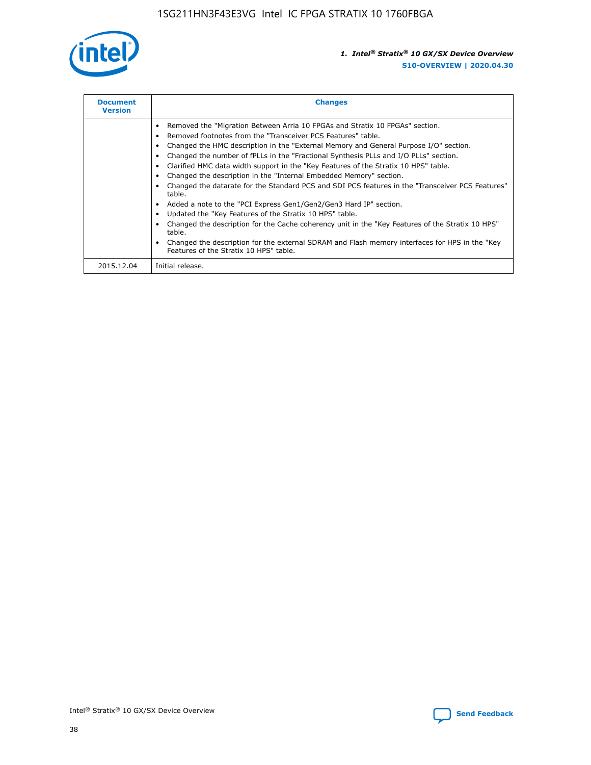

| <b>Document</b><br><b>Version</b> | <b>Changes</b>                                                                                                                                                                                                                                                                                                                                                                                                                                                                                                                                                                                                                                                                                                                                                                                                                                                                                                                                                                                     |  |
|-----------------------------------|----------------------------------------------------------------------------------------------------------------------------------------------------------------------------------------------------------------------------------------------------------------------------------------------------------------------------------------------------------------------------------------------------------------------------------------------------------------------------------------------------------------------------------------------------------------------------------------------------------------------------------------------------------------------------------------------------------------------------------------------------------------------------------------------------------------------------------------------------------------------------------------------------------------------------------------------------------------------------------------------------|--|
|                                   | Removed the "Migration Between Arria 10 FPGAs and Stratix 10 FPGAs" section.<br>Removed footnotes from the "Transceiver PCS Features" table.<br>Changed the HMC description in the "External Memory and General Purpose I/O" section.<br>Changed the number of fPLLs in the "Fractional Synthesis PLLs and I/O PLLs" section.<br>Clarified HMC data width support in the "Key Features of the Stratix 10 HPS" table.<br>Changed the description in the "Internal Embedded Memory" section.<br>Changed the datarate for the Standard PCS and SDI PCS features in the "Transceiver PCS Features"<br>table.<br>Added a note to the "PCI Express Gen1/Gen2/Gen3 Hard IP" section.<br>Updated the "Key Features of the Stratix 10 HPS" table.<br>Changed the description for the Cache coherency unit in the "Key Features of the Stratix 10 HPS"<br>table.<br>Changed the description for the external SDRAM and Flash memory interfaces for HPS in the "Key<br>Features of the Stratix 10 HPS" table. |  |
| 2015.12.04                        | Initial release.                                                                                                                                                                                                                                                                                                                                                                                                                                                                                                                                                                                                                                                                                                                                                                                                                                                                                                                                                                                   |  |